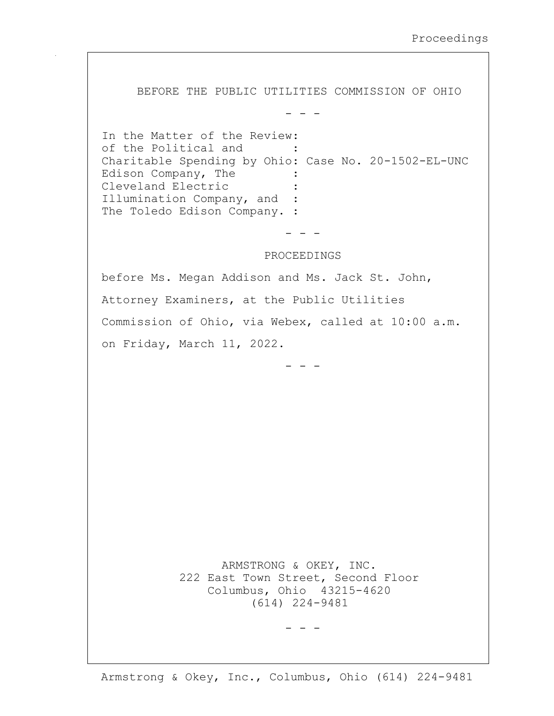BEFORE THE PUBLIC UTILITIES COMMISSION OF OHIO

- - -

In the Matter of the Review: of the Political and Charitable Spending by Ohio: Case No. 20-1502-EL-UNC Edison Company, The Cleveland Electric Illumination Company, and : The Toledo Edison Company. :

- - -

PROCEEDINGS

before Ms. Megan Addison and Ms. Jack St. John, Attorney Examiners, at the Public Utilities Commission of Ohio, via Webex, called at 10:00 a.m. on Friday, March 11, 2022.

- - -

 ARMSTRONG & OKEY, INC. 222 East Town Street, Second Floor Columbus, Ohio 43215-4620 (614) 224-9481

 $-$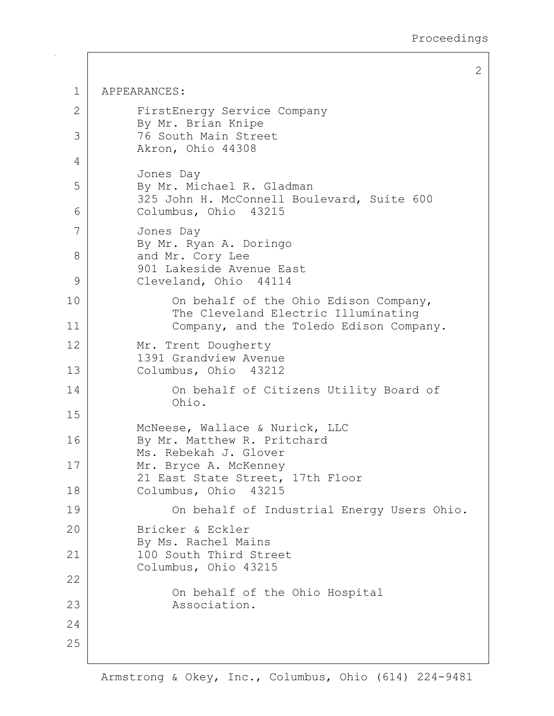1 APPEARANCES: 2 FirstEnergy Service Company By Mr. Brian Knipe 3 76 South Main Street Akron, Ohio 44308 4 Jones Day 5 By Mr. Michael R. Gladman 325 John H. McConnell Boulevard, Suite 600 6 Columbus, Ohio 43215 7 Jones Day By Mr. Ryan A. Doringo 8 and Mr. Cory Lee 901 Lakeside Avenue East 9 Cleveland, Ohio 44114 10 | Con behalf of the Ohio Edison Company, The Cleveland Electric Illuminating 11 Company, and the Toledo Edison Company. 12 Mr. Trent Dougherty 1391 Grandview Avenue 13 Columbus, Ohio 43212 14 On behalf of Citizens Utility Board of Ohio. 15 McNeese, Wallace & Nurick, LLC 16 By Mr. Matthew R. Pritchard Ms. Rebekah J. Glover 17 Mr. Bryce A. McKenney 21 East State Street, 17th Floor 18 Columbus, Ohio 43215 19 On behalf of Industrial Energy Users Ohio. 20 Bricker & Eckler By Ms. Rachel Mains 21 | 100 South Third Street Columbus, Ohio 43215 22 On behalf of the Ohio Hospital 23 Association. 24 25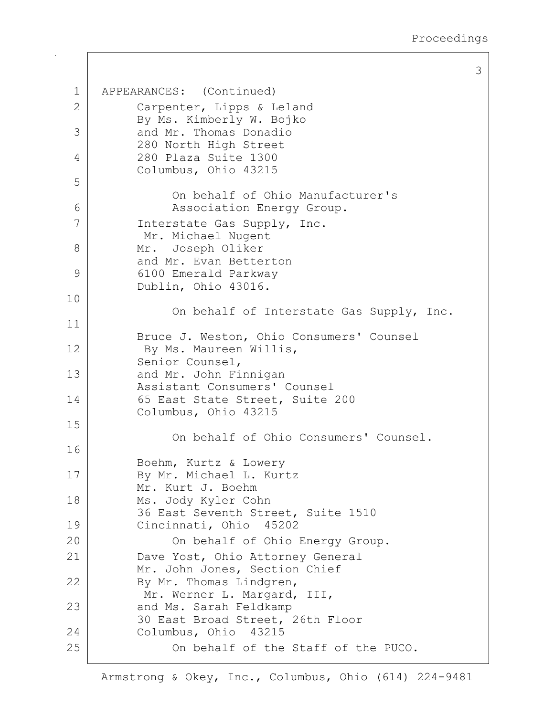1 APPEARANCES: (Continued) 2 Carpenter, Lipps & Leland By Ms. Kimberly W. Bojko 3 and Mr. Thomas Donadio 280 North High Street 4 280 Plaza Suite 1300 Columbus, Ohio 43215 5 On behalf of Ohio Manufacturer's 6 | Resociation Energy Group. 7 | Interstate Gas Supply, Inc. Mr. Michael Nugent 8 Mr. Joseph Oliker and Mr. Evan Betterton 9 6100 Emerald Parkway Dublin, Ohio 43016. 10 On behalf of Interstate Gas Supply, Inc. 11 Bruce J. Weston, Ohio Consumers' Counsel 12 By Ms. Maureen Willis, Senior Counsel, 13 and Mr. John Finnigan Assistant Consumers' Counsel 14 65 East State Street, Suite 200 Columbus, Ohio 43215 15 On behalf of Ohio Consumers' Counsel. 16 Boehm, Kurtz & Lowery 17 | By Mr. Michael L. Kurtz Mr. Kurt J. Boehm 18 Ms. Jody Kyler Cohn 36 East Seventh Street, Suite 1510 19 Cincinnati, Ohio 45202 20 | Con behalf of Ohio Energy Group. 21 | Dave Yost, Ohio Attorney General Mr. John Jones, Section Chief 22 By Mr. Thomas Lindgren, Mr. Werner L. Margard, III, 23 and Ms. Sarah Feldkamp 30 East Broad Street, 26th Floor 24 Columbus, Ohio 43215 25 On behalf of the Staff of the PUCO.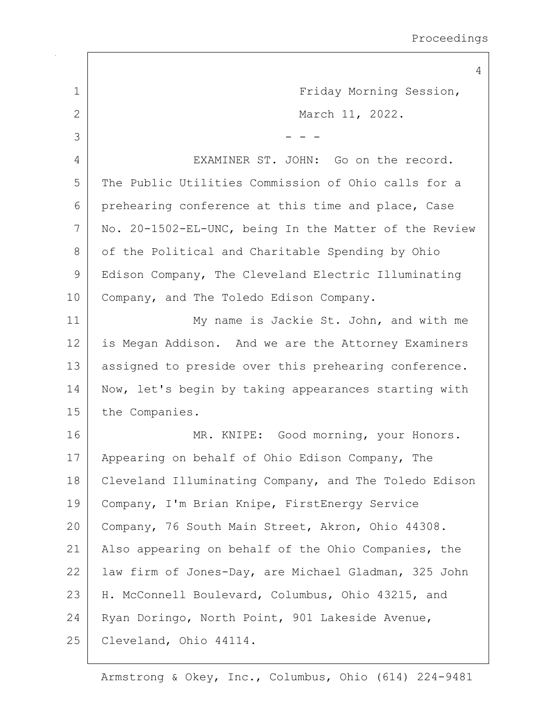|             | $\overline{4}$                                        |
|-------------|-------------------------------------------------------|
| $\mathbf 1$ | Friday Morning Session,                               |
| 2           | March 11, 2022.                                       |
| 3           |                                                       |
| 4           | EXAMINER ST. JOHN: Go on the record.                  |
| 5           | The Public Utilities Commission of Ohio calls for a   |
| 6           | prehearing conference at this time and place, Case    |
| 7           | No. 20-1502-EL-UNC, being In the Matter of the Review |
| 8           | of the Political and Charitable Spending by Ohio      |
| 9           | Edison Company, The Cleveland Electric Illuminating   |
| 10          | Company, and The Toledo Edison Company.               |
| 11          | My name is Jackie St. John, and with me               |
| 12          | is Megan Addison. And we are the Attorney Examiners   |
| 13          | assigned to preside over this prehearing conference.  |
| 14          | Now, let's begin by taking appearances starting with  |
| 15          | the Companies.                                        |
| 16          | MR. KNIPE: Good morning, your Honors.                 |
| 17          | Appearing on behalf of Ohio Edison Company, The       |
| 18          | Cleveland Illuminating Company, and The Toledo Edison |
| 19          | Company, I'm Brian Knipe, FirstEnergy Service         |
| 20          | Company, 76 South Main Street, Akron, Ohio 44308.     |
| 21          | Also appearing on behalf of the Ohio Companies, the   |
| 22          | law firm of Jones-Day, are Michael Gladman, 325 John  |
| 23          | H. McConnell Boulevard, Columbus, Ohio 43215, and     |
| 24          | Ryan Doringo, North Point, 901 Lakeside Avenue,       |
| 25          | Cleveland, Ohio 44114.                                |
|             |                                                       |

 $\Gamma$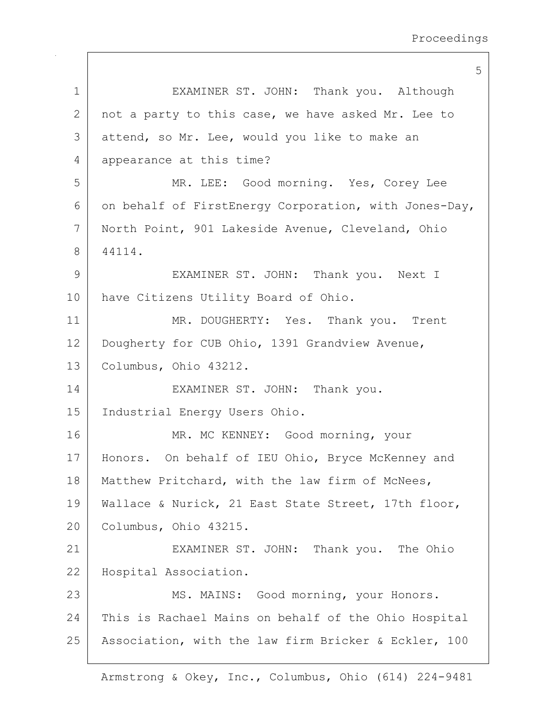|              | 5                                                     |
|--------------|-------------------------------------------------------|
| $\mathbf 1$  | EXAMINER ST. JOHN: Thank you. Although                |
| $\mathbf{2}$ | not a party to this case, we have asked Mr. Lee to    |
| 3            | attend, so Mr. Lee, would you like to make an         |
| 4            | appearance at this time?                              |
| 5            | MR. LEE: Good morning. Yes, Corey Lee                 |
| 6            | on behalf of FirstEnergy Corporation, with Jones-Day, |
| 7            | North Point, 901 Lakeside Avenue, Cleveland, Ohio     |
| 8            | 44114.                                                |
| 9            | EXAMINER ST. JOHN: Thank you. Next I                  |
| 10           | have Citizens Utility Board of Ohio.                  |
| 11           | MR. DOUGHERTY: Yes. Thank you. Trent                  |
| 12           | Dougherty for CUB Ohio, 1391 Grandview Avenue,        |
| 13           | Columbus, Ohio 43212.                                 |
| 14           | EXAMINER ST. JOHN: Thank you.                         |
| 15           | Industrial Energy Users Ohio.                         |
| 16           | MR. MC KENNEY: Good morning, your                     |
| 17           | Honors. On behalf of IEU Ohio, Bryce McKenney and     |
| 18           | Matthew Pritchard, with the law firm of McNees,       |
| 19           | Wallace & Nurick, 21 East State Street, 17th floor,   |
| 20           | Columbus, Ohio 43215.                                 |
| 21           | EXAMINER ST. JOHN: Thank you. The Ohio                |
| 22           | Hospital Association.                                 |
| 23           | MS. MAINS: Good morning, your Honors.                 |
| 24           | This is Rachael Mains on behalf of the Ohio Hospital  |
| 25           | Association, with the law firm Bricker & Eckler, 100  |
|              |                                                       |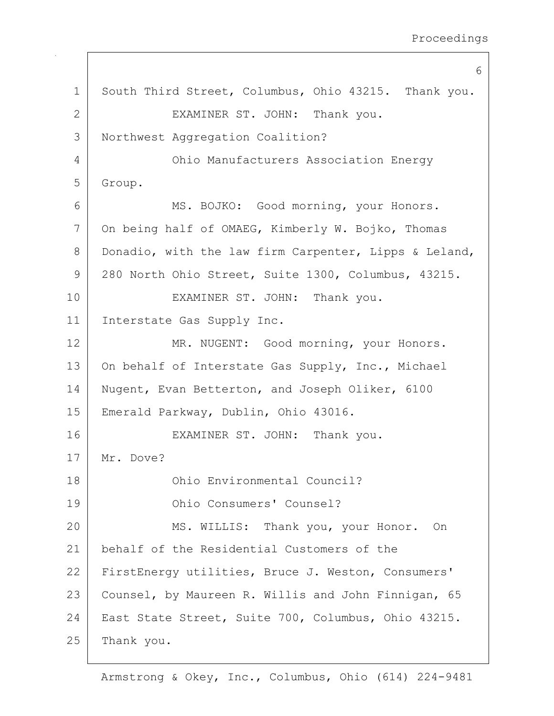6 1 South Third Street, Columbus, Ohio 43215. Thank you. 2 EXAMINER ST. JOHN: Thank you. 3 Northwest Aggregation Coalition? 4 Ohio Manufacturers Association Energy 5 Group. 6 MS. BOJKO: Good morning, your Honors. 7 On being half of OMAEG, Kimberly W. Bojko, Thomas 8 Donadio, with the law firm Carpenter, Lipps & Leland, 9 280 North Ohio Street, Suite 1300, Columbus, 43215. 10 EXAMINER ST. JOHN: Thank you. 11 Interstate Gas Supply Inc. 12 MR. NUGENT: Good morning, your Honors. 13 On behalf of Interstate Gas Supply, Inc., Michael 14 Nugent, Evan Betterton, and Joseph Oliker, 6100 15 Emerald Parkway, Dublin, Ohio 43016. 16 EXAMINER ST. JOHN: Thank you. 17 Mr. Dove? 18 Ohio Environmental Council? 19 Ohio Consumers' Counsel? 20 MS. WILLIS: Thank you, your Honor. On 21 behalf of the Residential Customers of the 22 FirstEnergy utilities, Bruce J. Weston, Consumers' 23 | Counsel, by Maureen R. Willis and John Finnigan, 65 24 | East State Street, Suite 700, Columbus, Ohio 43215. 25 Thank you.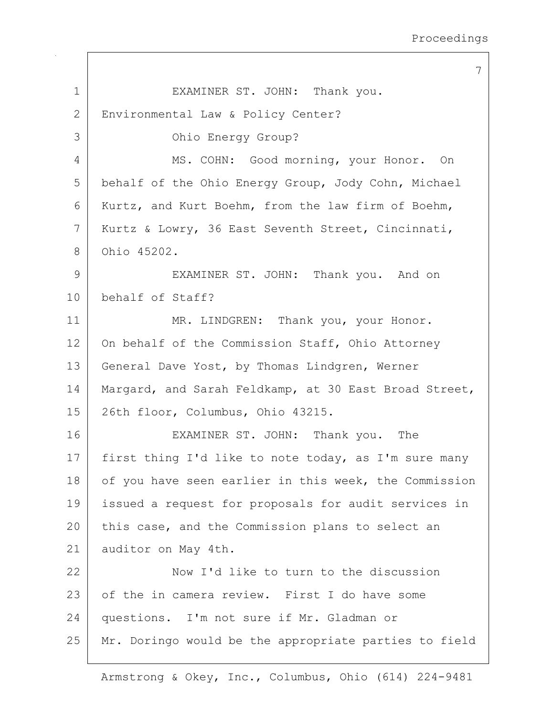7 1 EXAMINER ST. JOHN: Thank you. 2 | Environmental Law & Policy Center? 3 Ohio Energy Group? 4 MS. COHN: Good morning, your Honor. On 5 | behalf of the Ohio Energy Group, Jody Cohn, Michael 6 Kurtz, and Kurt Boehm, from the law firm of Boehm, 7 Kurtz & Lowry, 36 East Seventh Street, Cincinnati, 8 Ohio 45202. 9 EXAMINER ST. JOHN: Thank you. And on 10 behalf of Staff? 11 MR. LINDGREN: Thank you, your Honor. 12 | On behalf of the Commission Staff, Ohio Attorney 13 General Dave Yost, by Thomas Lindgren, Werner 14 | Margard, and Sarah Feldkamp, at 30 East Broad Street, 15 26th floor, Columbus, Ohio 43215. 16 EXAMINER ST. JOHN: Thank you. The 17 | first thing I'd like to note today, as I'm sure many 18 of you have seen earlier in this week, the Commission 19 issued a request for proposals for audit services in 20 this case, and the Commission plans to select an 21 auditor on May 4th. 22 Now I'd like to turn to the discussion 23 of the in camera review. First I do have some 24 questions. I'm not sure if Mr. Gladman or 25 Mr. Doringo would be the appropriate parties to field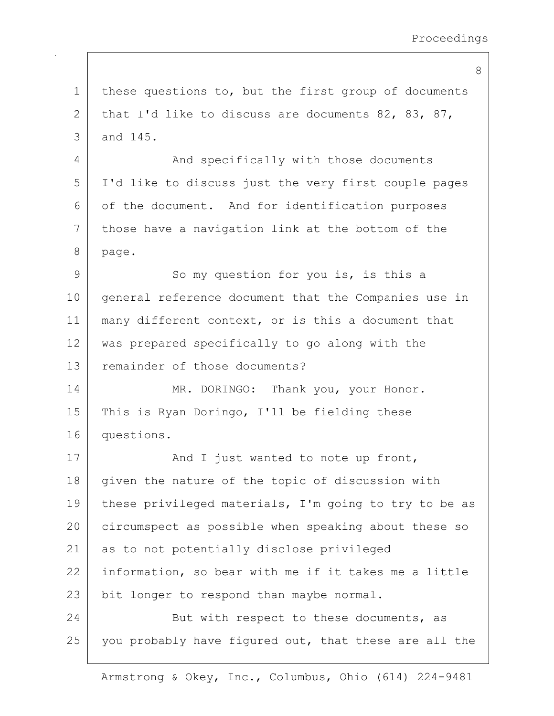1 | these questions to, but the first group of documents 2 that I'd like to discuss are documents 82, 83, 87, 3 and 145. 4 And specifically with those documents 5 I'd like to discuss just the very first couple pages 6 of the document. And for identification purposes 7 those have a navigation link at the bottom of the 8 page. 9 So my question for you is, is this a 10 | general reference document that the Companies use in 11 many different context, or is this a document that 12 was prepared specifically to go along with the 13 remainder of those documents? 14 MR. DORINGO: Thank you, your Honor. 15 | This is Ryan Doringo, I'll be fielding these 16 questions. 17 | And I just wanted to note up front, 18 given the nature of the topic of discussion with 19 | these privileged materials, I'm going to try to be as 20 circumspect as possible when speaking about these so 21 as to not potentially disclose privileged 22 information, so bear with me if it takes me a little 23 | bit longer to respond than maybe normal. 24 But with respect to these documents, as 25 you probably have figured out, that these are all the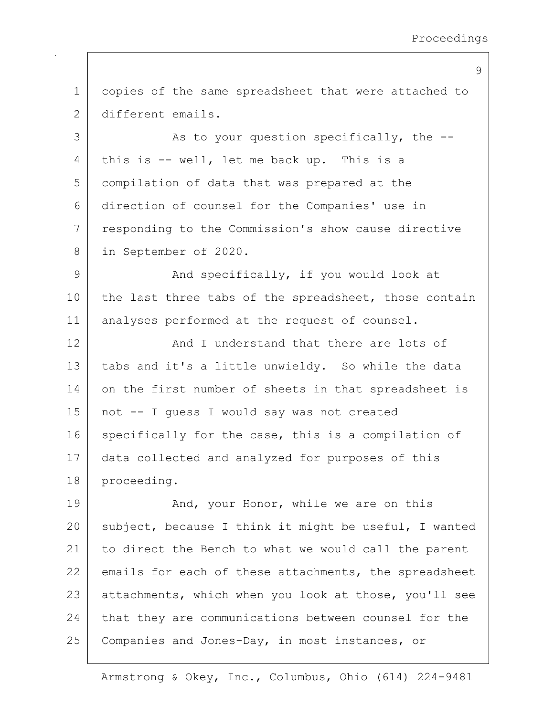1 copies of the same spreadsheet that were attached to 2 different emails. 3 as to your question specifically, the --4 | this is -- well, let me back up. This is a 5 compilation of data that was prepared at the 6 direction of counsel for the Companies' use in 7 responding to the Commission's show cause directive 8 in September of 2020. 9 And specifically, if you would look at 10 the last three tabs of the spreadsheet, those contain 11 | analyses performed at the request of counsel. 12 And I understand that there are lots of 13 tabs and it's a little unwieldy. So while the data 14 on the first number of sheets in that spreadsheet is 15 not -- I guess I would say was not created 16 specifically for the case, this is a compilation of 17 data collected and analyzed for purposes of this 18 proceeding. 19 And, your Honor, while we are on this 20 subject, because I think it might be useful, I wanted 21 to direct the Bench to what we would call the parent 22 emails for each of these attachments, the spreadsheet 23 attachments, which when you look at those, you'll see 24 that they are communications between counsel for the 25 Companies and Jones-Day, in most instances, or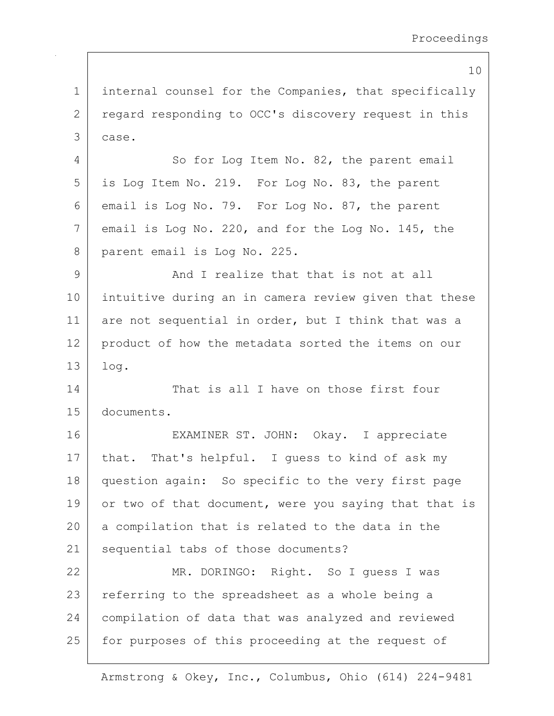10 1 internal counsel for the Companies, that specifically 2 regard responding to OCC's discovery request in this 3 case. 4 So for Log Item No. 82, the parent email 5 is Log Item No. 219. For Log No. 83, the parent 6 email is Log No. 79. For Log No. 87, the parent 7 email is Log No. 220, and for the Log No. 145, the 8 parent email is Log No. 225. 9 And I realize that that is not at all 10 intuitive during an in camera review given that these 11 are not sequential in order, but I think that was a 12 product of how the metadata sorted the items on our 13 log. 14 That is all I have on those first four 15 documents. 16 EXAMINER ST. JOHN: Okay. I appreciate 17 | that. That's helpful. I guess to kind of ask my 18 question again: So specific to the very first page 19 or two of that document, were you saying that that is 20 a compilation that is related to the data in the 21 | sequential tabs of those documents? 22 MR. DORINGO: Right. So I quess I was 23 | referring to the spreadsheet as a whole being a 24 compilation of data that was analyzed and reviewed 25 | for purposes of this proceeding at the request of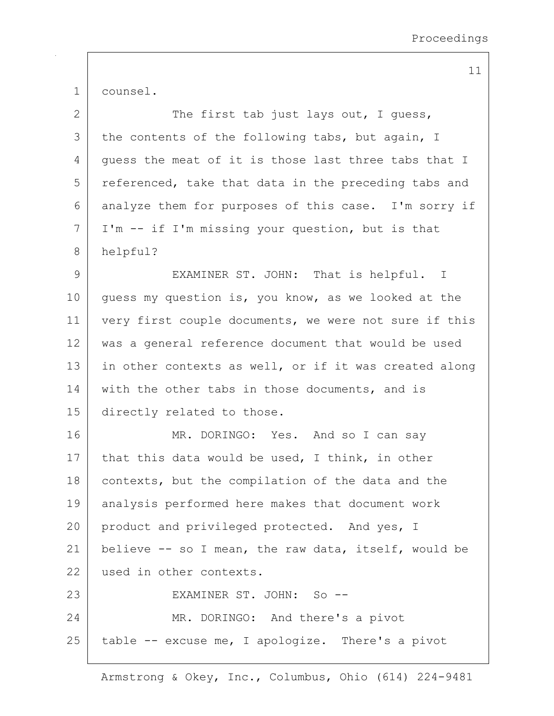1 counsel.

| $\mathbf{2}$ | The first tab just lays out, I quess,                 |
|--------------|-------------------------------------------------------|
| 3            | the contents of the following tabs, but again, I      |
| 4            | quess the meat of it is those last three tabs that I  |
| 5            | referenced, take that data in the preceding tabs and  |
| 6            | analyze them for purposes of this case. I'm sorry if  |
| 7            | I'm -- if I'm missing your question, but is that      |
| 8            | helpful?                                              |
| $\mathsf 9$  | EXAMINER ST. JOHN: That is helpful. I                 |
| 10           | guess my question is, you know, as we looked at the   |
| 11           | very first couple documents, we were not sure if this |
| 12           | was a general reference document that would be used   |
| 13           | in other contexts as well, or if it was created along |
| 14           | with the other tabs in those documents, and is        |
| 15           | directly related to those.                            |
| 16           | MR. DORINGO: Yes. And so I can say                    |
| 17           | that this data would be used, I think, in other       |
| 18           | contexts, but the compilation of the data and the     |
| 19           | analysis performed here makes that document work      |
| 20           | product and privileged protected. And yes, I          |
| 21           | believe -- so I mean, the raw data, itself, would be  |
| 22           | used in other contexts.                               |
| 23           | EXAMINER ST. JOHN: So --                              |
| 24           | MR. DORINGO: And there's a pivot                      |
| 25           | table -- excuse me, I apologize. There's a pivot      |
|              |                                                       |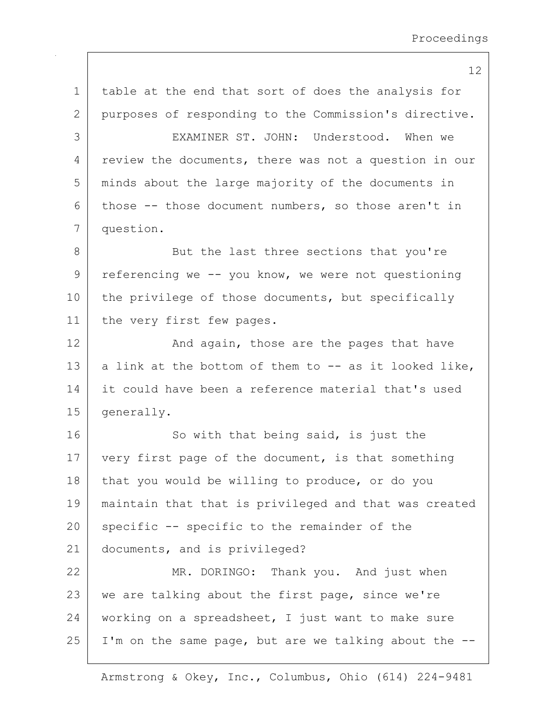| $\mathbf 1$ | table at the end that sort of does the analysis for   |
|-------------|-------------------------------------------------------|
| 2           | purposes of responding to the Commission's directive. |
| 3           | EXAMINER ST. JOHN: Understood. When we                |
| 4           | review the documents, there was not a question in our |
| 5           | minds about the large majority of the documents in    |
| 6           | those $--$ those document numbers, so those aren't in |
| 7           | question.                                             |
| 8           | But the last three sections that you're               |
| 9           | referencing we -- you know, we were not questioning   |
| 10          | the privilege of those documents, but specifically    |
| 11          | the very first few pages.                             |
| 12          | And again, those are the pages that have              |
| 13          | a link at the bottom of them to -- as it looked like, |
| 14          | it could have been a reference material that's used   |
| 15          | generally.                                            |
| 16          | So with that being said, is just the                  |
| 17          | very first page of the document, is that something    |
| 18          | that you would be willing to produce, or do you       |
| 19          | maintain that that is privileged and that was created |
| 20          | specific -- specific to the remainder of the          |
| 21          | documents, and is privileged?                         |
| 22          | MR. DORINGO: Thank you. And just when                 |
| 23          | we are talking about the first page, since we're      |
| 24          | working on a spreadsheet, I just want to make sure    |
| 25          | I'm on the same page, but are we talking about the -- |
|             |                                                       |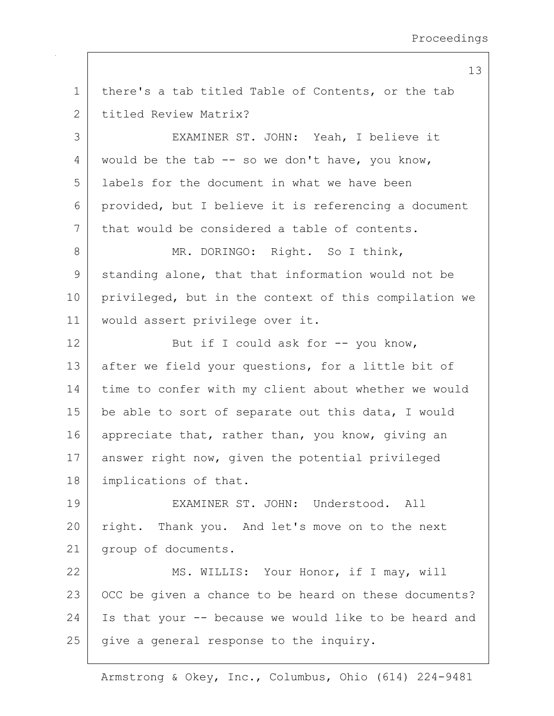1 | there's a tab titled Table of Contents, or the tab 2 titled Review Matrix? 3 EXAMINER ST. JOHN: Yeah, I believe it 4 would be the tab  $-$  so we don't have, you know, 5 labels for the document in what we have been 6 provided, but I believe it is referencing a document 7 that would be considered a table of contents. 8 MR. DORINGO: Right. So I think, 9 standing alone, that that information would not be 10 privileged, but in the context of this compilation we 11 would assert privilege over it. 12 But if I could ask for -- you know, 13 after we field your questions, for a little bit of 14 time to confer with my client about whether we would 15 | be able to sort of separate out this data, I would 16 appreciate that, rather than, you know, giving an 17 answer right now, given the potential privileged 18 implications of that. 19 EXAMINER ST. JOHN: Understood. All 20 right. Thank you. And let's move on to the next 21 group of documents. 22 MS. WILLIS: Your Honor, if I may, will 23 | OCC be given a chance to be heard on these documents? 24 Is that your  $-$  because we would like to be heard and  $25$  give a general response to the inquiry.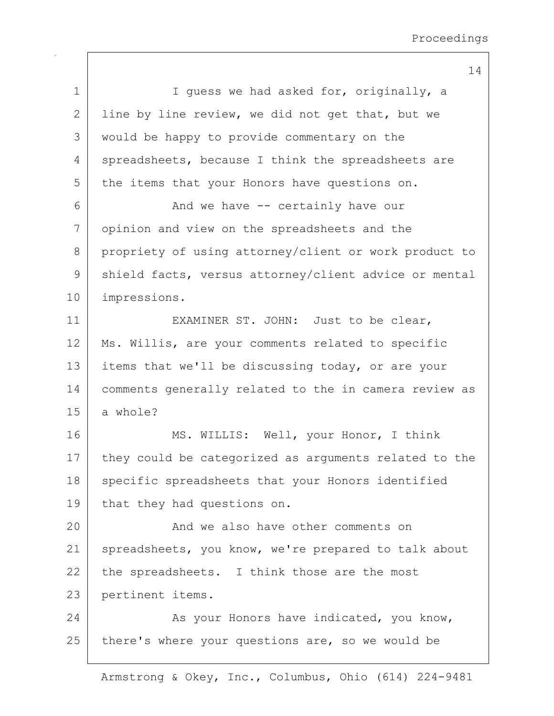|              | 14                                                    |
|--------------|-------------------------------------------------------|
| 1            | I quess we had asked for, originally, a               |
| $\mathbf{2}$ | line by line review, we did not get that, but we      |
| 3            | would be happy to provide commentary on the           |
| 4            | spreadsheets, because I think the spreadsheets are    |
| 5            | the items that your Honors have questions on.         |
| 6            | And we have -- certainly have our                     |
| 7            | opinion and view on the spreadsheets and the          |
| 8            | propriety of using attorney/client or work product to |
| $\mathsf 9$  | shield facts, versus attorney/client advice or mental |
| 10           | impressions.                                          |
| 11           | EXAMINER ST. JOHN: Just to be clear,                  |
| 12           | Ms. Willis, are your comments related to specific     |
| 13           | items that we'll be discussing today, or are your     |
| 14           | comments generally related to the in camera review as |
| 15           | a whole?                                              |
| 16           | MS. WILLIS: Well, your Honor, I think                 |
| 17           | they could be categorized as arguments related to the |
| 18           | specific spreadsheets that your Honors identified     |
| 19           | that they had questions on.                           |
| 20           | And we also have other comments on                    |
| 21           | spreadsheets, you know, we're prepared to talk about  |
| 22           | the spreadsheets. I think those are the most          |
| 23           | pertinent items.                                      |
| 24           | As your Honors have indicated, you know,              |
| 25           | there's where your questions are, so we would be      |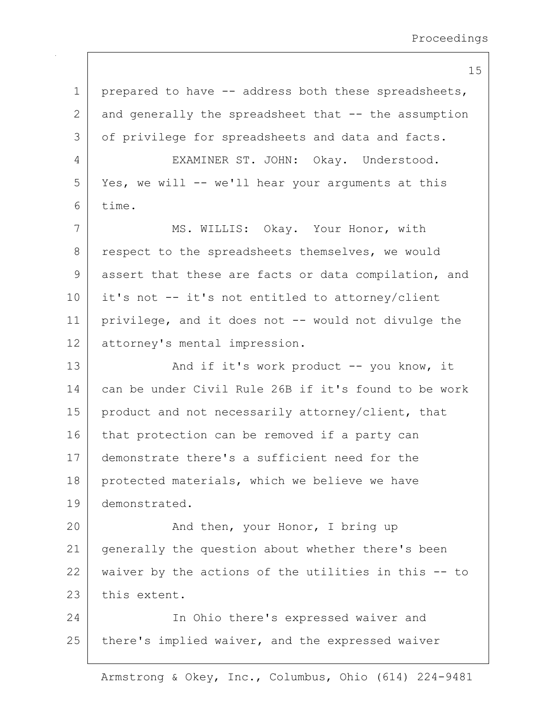1 | prepared to have -- address both these spreadsheets,  $2$  and generally the spreadsheet that  $-$  the assumption 3 of privilege for spreadsheets and data and facts. 4 EXAMINER ST. JOHN: Okay. Understood. 5 Yes, we will -- we'll hear your arguments at this 6 time. 7 | MS. WILLIS: Okay. Your Honor, with 8 respect to the spreadsheets themselves, we would 9 assert that these are facts or data compilation, and 10 it's not -- it's not entitled to attorney/client 11 privilege, and it does not -- would not divulge the 12 attorney's mental impression. 13 And if it's work product -- you know, it 14 can be under Civil Rule 26B if it's found to be work 15 | product and not necessarily attorney/client, that 16 that protection can be removed if a party can 17 demonstrate there's a sufficient need for the 18 | protected materials, which we believe we have 19 demonstrated. 20 And then, your Honor, I bring up 21 generally the question about whether there's been 22 waiver by the actions of the utilities in this  $-$  to 23 this extent. 24 In Ohio there's expressed waiver and 25 | there's implied waiver, and the expressed waiver

Armstrong & Okey, Inc., Columbus, Ohio (614) 224-9481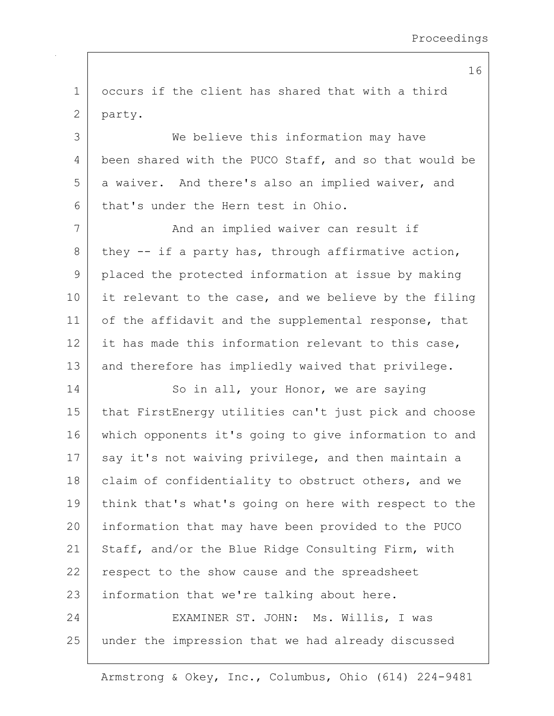| 1 occurs if the client has shared that with a third |  |  |  |  |  |
|-----------------------------------------------------|--|--|--|--|--|
| $2$   party.                                        |  |  |  |  |  |

3 We believe this information may have 4 been shared with the PUCO Staff, and so that would be 5 a waiver. And there's also an implied waiver, and 6 that's under the Hern test in Ohio.

7 | The Mand an implied waiver can result if 8 they  $-$  if a party has, through affirmative action, 9 placed the protected information at issue by making 10 it relevant to the case, and we believe by the filing 11 of the affidavit and the supplemental response, that 12 it has made this information relevant to this case, 13 and therefore has impliedly waived that privilege.

14 So in all, your Honor, we are saying 15 that FirstEnergy utilities can't just pick and choose 16 which opponents it's going to give information to and 17 say it's not waiving privilege, and then maintain a 18 | claim of confidentiality to obstruct others, and we 19 think that's what's going on here with respect to the 20 information that may have been provided to the PUCO 21 Staff, and/or the Blue Ridge Consulting Firm, with 22 respect to the show cause and the spreadsheet 23 | information that we're talking about here. 24 EXAMINER ST. JOHN: Ms. Willis, I was

25 under the impression that we had already discussed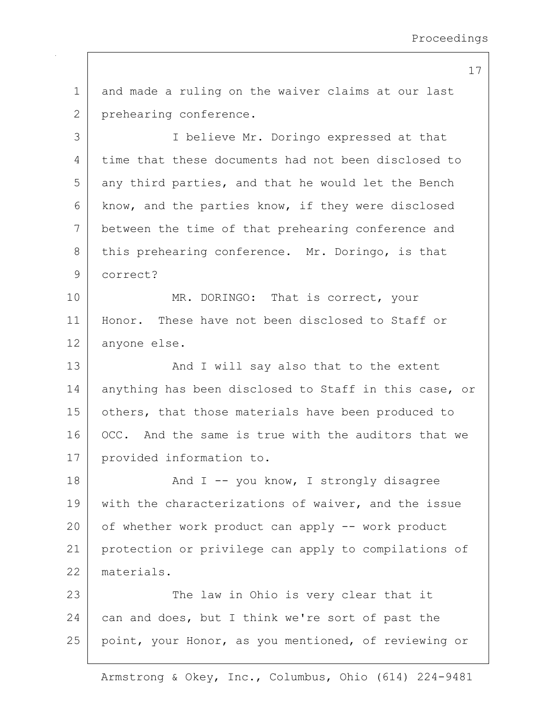1 and made a ruling on the waiver claims at our last 2 prehearing conference.

3 I believe Mr. Doringo expressed at that 4 time that these documents had not been disclosed to  $5$  any third parties, and that he would let the Bench 6 know, and the parties know, if they were disclosed 7 between the time of that prehearing conference and 8 this prehearing conference. Mr. Doringo, is that 9 correct?

10 MR. DORINGO: That is correct, your 11 Honor. These have not been disclosed to Staff or 12 anyone else.

13 | And I will say also that to the extent 14 anything has been disclosed to Staff in this case, or 15 | others, that those materials have been produced to 16 OCC. And the same is true with the auditors that we 17 provided information to.

18 | The Mand I -- you know, I strongly disagree 19 with the characterizations of waiver, and the issue 20 of whether work product can apply -- work product 21 protection or privilege can apply to compilations of 22 materials.

23 | The law in Ohio is very clear that it 24 can and does, but I think we're sort of past the 25 point, your Honor, as you mentioned, of reviewing or

Armstrong & Okey, Inc., Columbus, Ohio (614) 224-9481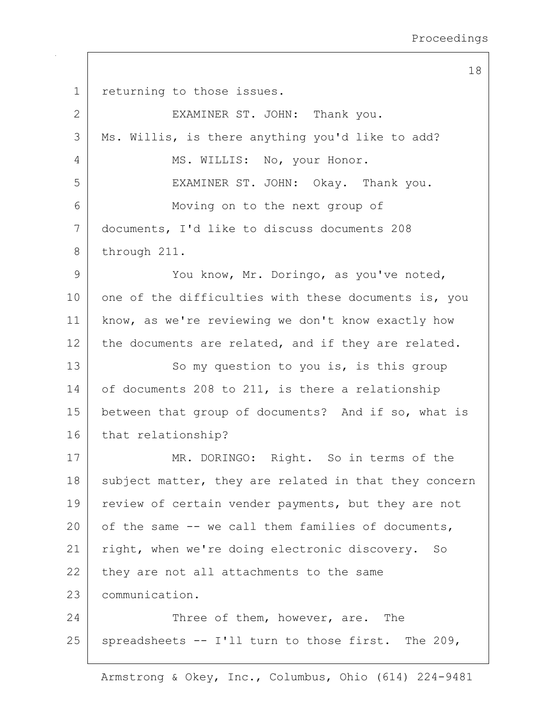18 1 returning to those issues. 2 EXAMINER ST. JOHN: Thank you. 3 Ms. Willis, is there anything you'd like to add? 4 | MS. WILLIS: No, your Honor. 5 EXAMINER ST. JOHN: Okay. Thank you. 6 Moving on to the next group of 7 documents, I'd like to discuss documents 208 8 through 211. 9 You know, Mr. Doringo, as you've noted, 10 one of the difficulties with these documents is, you 11 know, as we're reviewing we don't know exactly how 12 the documents are related, and if they are related. 13 So my question to you is, is this group 14 of documents 208 to 211, is there a relationship 15 | between that group of documents? And if so, what is 16 that relationship? 17 | MR. DORINGO: Right. So in terms of the 18 subject matter, they are related in that they concern 19 review of certain vender payments, but they are not 20 of the same  $-$  we call them families of documents, 21 right, when we're doing electronic discovery. So  $22$  they are not all attachments to the same 23 communication. 24 Three of them, however, are. The 25 spreadsheets  $--$  I'll turn to those first. The 209,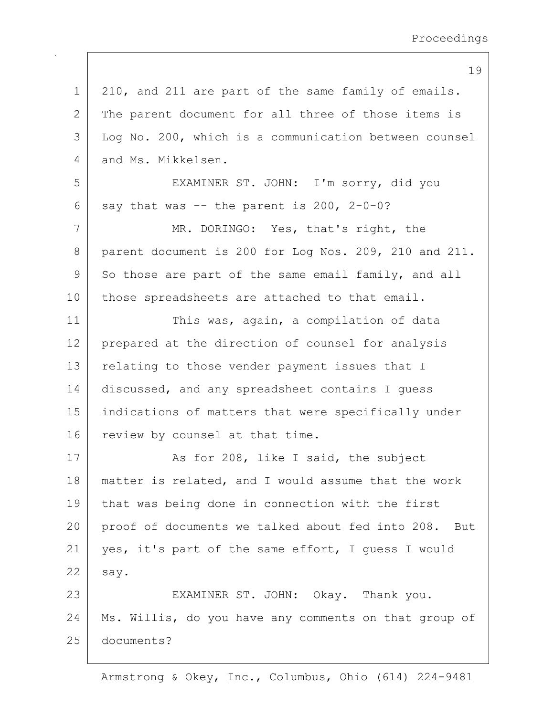|                 | 19                                                    |
|-----------------|-------------------------------------------------------|
| $\mathbf 1$     | 210, and 211 are part of the same family of emails.   |
| 2               | The parent document for all three of those items is   |
| 3               | Log No. 200, which is a communication between counsel |
| 4               | and Ms. Mikkelsen.                                    |
| 5               | EXAMINER ST. JOHN: I'm sorry, did you                 |
| 6               | say that was -- the parent is 200, 2-0-0?             |
| 7               | MR. DORINGO: Yes, that's right, the                   |
| 8               | parent document is 200 for Log Nos. 209, 210 and 211. |
| 9               | So those are part of the same email family, and all   |
| 10 <sub>o</sub> | those spreadsheets are attached to that email.        |
| 11              | This was, again, a compilation of data                |
| 12              | prepared at the direction of counsel for analysis     |
| 13              | relating to those vender payment issues that I        |
| 14              | discussed, and any spreadsheet contains I guess       |
| 15              | indications of matters that were specifically under   |
| 16              | review by counsel at that time.                       |
| 17              | As for 208, like I said, the subject                  |
| 18              | matter is related, and I would assume that the work   |
| 19              | that was being done in connection with the first      |
| 20              | proof of documents we talked about fed into 208. But  |
| 21              | yes, it's part of the same effort, I quess I would    |
| 22              | say.                                                  |
| 23              | EXAMINER ST. JOHN: Okay. Thank you.                   |
| 24              | Ms. Willis, do you have any comments on that group of |
| 25              | documents?                                            |
|                 |                                                       |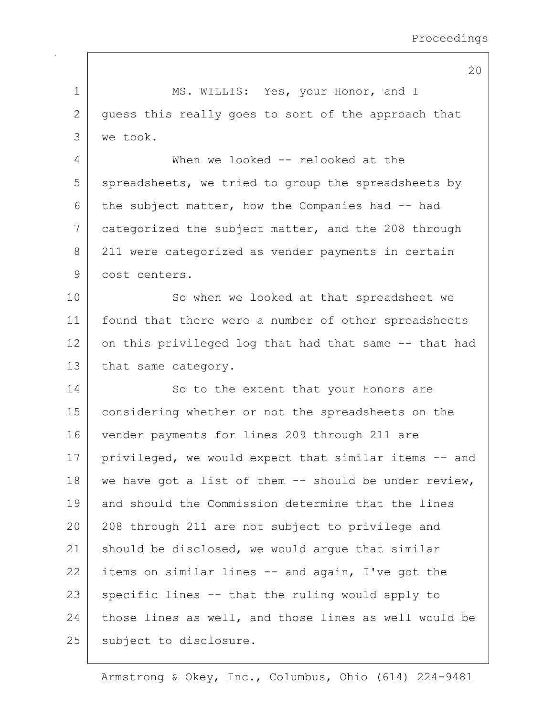1 MS. WILLIS: Yes, your Honor, and I 2 guess this really goes to sort of the approach that 3 we took. 4 When we looked -- relooked at the  $5$  spreadsheets, we tried to group the spreadsheets by 6 the subject matter, how the Companies had  $-$  had 7 categorized the subject matter, and the 208 through 8 211 were categorized as vender payments in certain 9 cost centers. 10 | So when we looked at that spreadsheet we 11 found that there were a number of other spreadsheets 12 on this privileged log that had that same  $-$ - that had 13 that same category. 14 So to the extent that your Honors are 15 considering whether or not the spreadsheets on the 16 vender payments for lines 209 through 211 are 17 | privileged, we would expect that similar items -- and 18 we have got a list of them  $-$  should be under review, 19 and should the Commission determine that the lines 20 208 through 211 are not subject to privilege and 21 should be disclosed, we would arque that similar 22 items on similar lines  $-$  and again, I've got the  $23$  specific lines  $-$  that the ruling would apply to 24 those lines as well, and those lines as well would be 25 | subject to disclosure.

Armstrong & Okey, Inc., Columbus, Ohio (614) 224-9481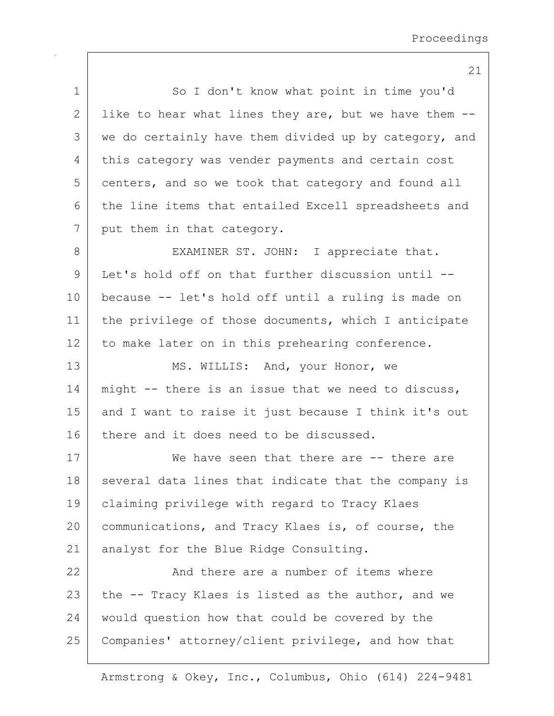| $\mathbf 1$  | So I don't know what point in time you'd              |
|--------------|-------------------------------------------------------|
| $\mathbf{2}$ | like to hear what lines they are, but we have them -- |
| 3            | we do certainly have them divided up by category, and |
| 4            | this category was vender payments and certain cost    |
| 5            | centers, and so we took that category and found all   |
| 6            | the line items that entailed Excell spreadsheets and  |
| 7            | put them in that category.                            |
| $8\,$        | EXAMINER ST. JOHN: I appreciate that.                 |
| 9            | Let's hold off on that further discussion until --    |
| 10           | because -- let's hold off until a ruling is made on   |
| 11           | the privilege of those documents, which I anticipate  |
| 12           | to make later on in this prehearing conference.       |
| 13           | MS. WILLIS: And, your Honor, we                       |
| 14           | might -- there is an issue that we need to discuss,   |
| 15           | and I want to raise it just because I think it's out  |
| 16           | there and it does need to be discussed.               |
| 17           | We have seen that there are -- there are              |
| 18           | several data lines that indicate that the company is  |
| 19           | claiming privilege with regard to Tracy Klaes         |
| 20           | communications, and Tracy Klaes is, of course, the    |
| 21           | analyst for the Blue Ridge Consulting.                |
| 22           | And there are a number of items where                 |
| 23           | the -- Tracy Klaes is listed as the author, and we    |
| 24           | would question how that could be covered by the       |
| 25           | Companies' attorney/client privilege, and how that    |
|              |                                                       |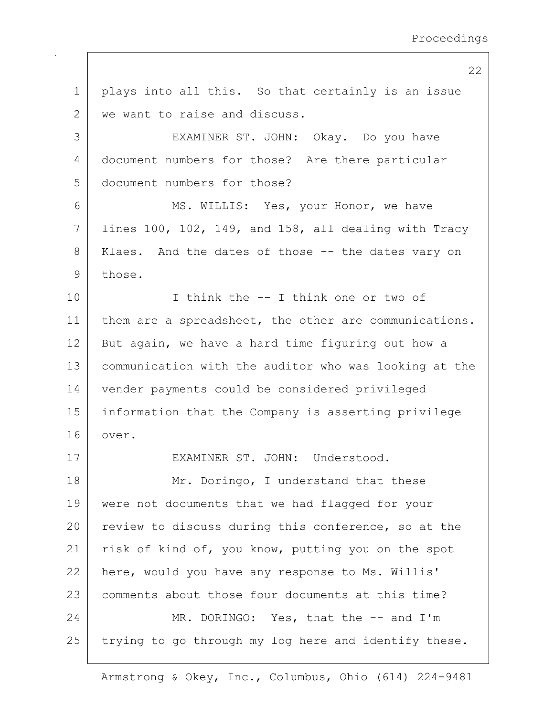1 | plays into all this. So that certainly is an issue 2 | we want to raise and discuss. 3 EXAMINER ST. JOHN: Okay. Do you have 4 document numbers for those? Are there particular 5 document numbers for those? 6 MS. WILLIS: Yes, your Honor, we have  $7$  lines 100, 102, 149, and 158, all dealing with Tracy 8 | Klaes. And the dates of those -- the dates vary on 9 those. 10 | Think the -- I think one or two of 11 | them are a spreadsheet, the other are communications.  $12$  But again, we have a hard time figuring out how a 13 communication with the auditor who was looking at the 14 vender payments could be considered privileged 15 information that the Company is asserting privilege 16 over. 17 EXAMINER ST. JOHN: Understood. 18 Mr. Doringo, I understand that these 19 | were not documents that we had flagged for your 20 review to discuss during this conference, so at the 21 | risk of kind of, you know, putting you on the spot 22 here, would you have any response to Ms. Willis' 23 comments about those four documents at this time? 24 MR. DORINGO: Yes, that the -- and I'm  $25$  trying to go through my log here and identify these.

Armstrong & Okey, Inc., Columbus, Ohio (614) 224-9481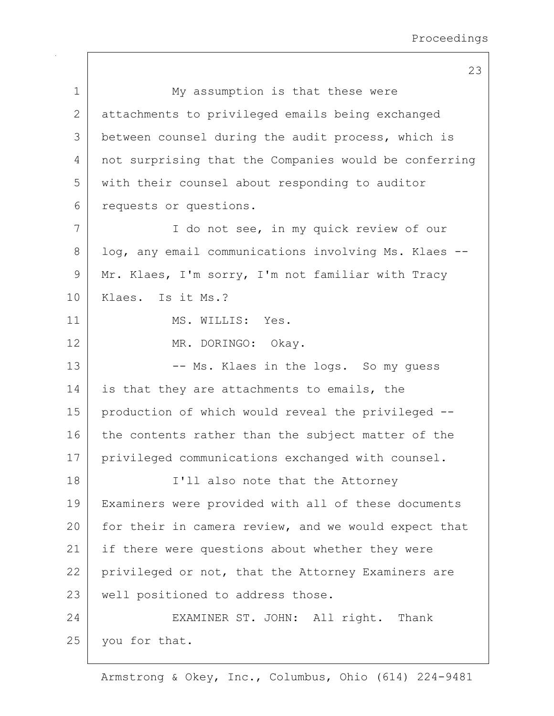|             | 23                                                    |
|-------------|-------------------------------------------------------|
| $\mathbf 1$ | My assumption is that these were                      |
| 2           | attachments to privileged emails being exchanged      |
| 3           | between counsel during the audit process, which is    |
| 4           | not surprising that the Companies would be conferring |
| 5           | with their counsel about responding to auditor        |
| 6           | requests or questions.                                |
| 7           | I do not see, in my quick review of our               |
| 8           | log, any email communications involving Ms. Klaes --  |
| 9           | Mr. Klaes, I'm sorry, I'm not familiar with Tracy     |
| 10          | Klaes. Is it Ms.?                                     |
| 11          | MS. WILLIS: Yes.                                      |
| 12          | MR. DORINGO: Okay.                                    |
| 13          | -- Ms. Klaes in the logs. So my quess                 |
| 14          | is that they are attachments to emails, the           |
| 15          | production of which would reveal the privileged --    |
| 16          | the contents rather than the subject matter of the    |
| 17          | privileged communications exchanged with counsel.     |
| 18          | I'll also note that the Attorney                      |
| 19          | Examiners were provided with all of these documents   |
| 20          | for their in camera review, and we would expect that  |
| 21          | if there were questions about whether they were       |
| 22          | privileged or not, that the Attorney Examiners are    |
| 23          | well positioned to address those.                     |
| 24          | EXAMINER ST. JOHN: All right. Thank                   |
| 25          | you for that.                                         |
|             |                                                       |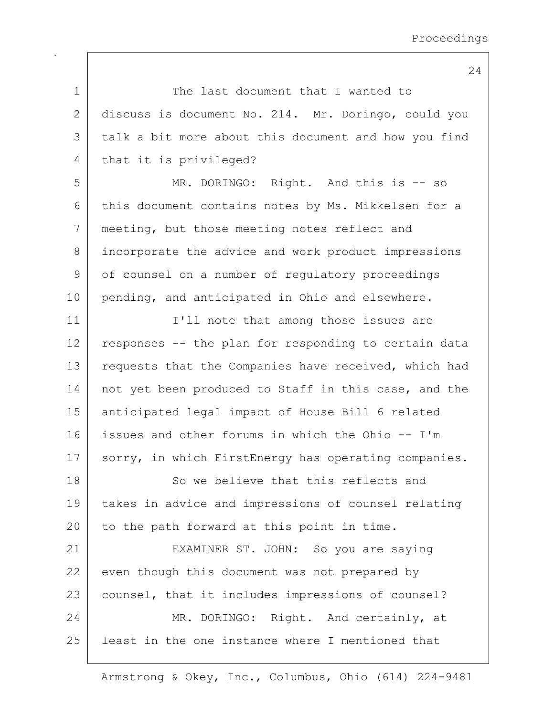1 The last document that I wanted to 2 discuss is document No. 214. Mr. Doringo, could you 3 | talk a bit more about this document and how you find 4 that it is privileged? 5 MR. DORINGO: Right. And this is -- so 6 this document contains notes by Ms. Mikkelsen for a 7 meeting, but those meeting notes reflect and 8 incorporate the advice and work product impressions 9 of counsel on a number of regulatory proceedings 10 pending, and anticipated in Ohio and elsewhere. 11 | T'll note that among those issues are  $12$  responses  $-$ - the plan for responding to certain data 13 requests that the Companies have received, which had 14 | not yet been produced to Staff in this case, and the 15 anticipated legal impact of House Bill 6 related 16 issues and other forums in which the Ohio -- I'm 17 | sorry, in which FirstEnergy has operating companies. 18 So we believe that this reflects and 19 takes in advice and impressions of counsel relating 20 to the path forward at this point in time. 21 | EXAMINER ST. JOHN: So you are saying 22 even though this document was not prepared by 23 | counsel, that it includes impressions of counsel? 24 MR. DORINGO: Right. And certainly, at 25 least in the one instance where I mentioned that

Armstrong & Okey, Inc., Columbus, Ohio (614) 224-9481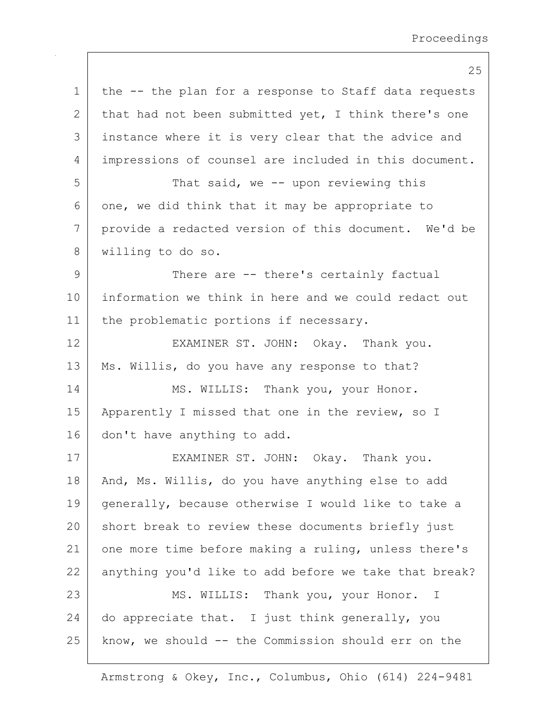25 1 | the -- the plan for a response to Staff data requests 2 that had not been submitted yet, I think there's one 3 instance where it is very clear that the advice and 4 impressions of counsel are included in this document. 5 That said, we -- upon reviewing this  $6$  one, we did think that it may be appropriate to 7 provide a redacted version of this document. We'd be 8 willing to do so. 9 There are -- there's certainly factual 10 information we think in here and we could redact out 11 | the problematic portions if necessary. 12 EXAMINER ST. JOHN: Okay. Thank you. 13 | Ms. Willis, do you have any response to that? 14 MS. WILLIS: Thank you, your Honor. 15 | Apparently I missed that one in the review, so I 16 don't have anything to add. 17 | EXAMINER ST. JOHN: Okay. Thank you. 18 | And, Ms. Willis, do you have anything else to add 19 generally, because otherwise I would like to take a 20 short break to review these documents briefly just 21 one more time before making a ruling, unless there's 22 anything you'd like to add before we take that break? 23 MS. WILLIS: Thank you, your Honor. I 24  $\vert$  do appreciate that. I just think generally, you 25 | know, we should -- the Commission should err on the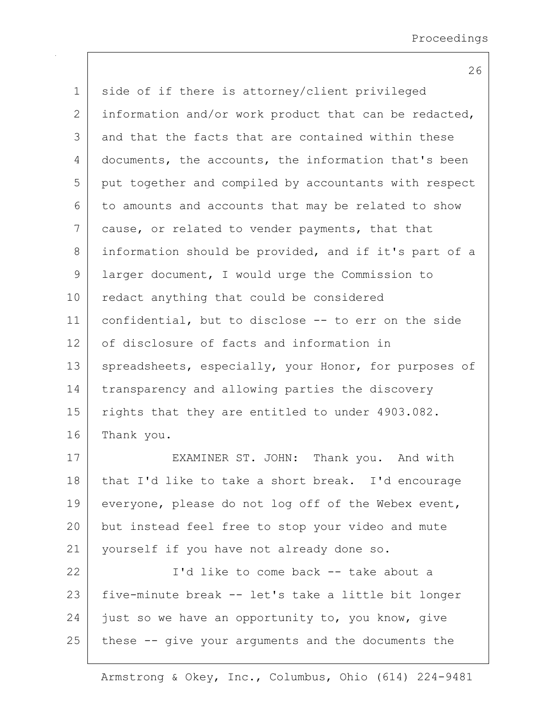1 | side of if there is attorney/client privileged 2 information and/or work product that can be redacted, 3 and that the facts that are contained within these 4 documents, the accounts, the information that's been 5 put together and compiled by accountants with respect  $6$  to amounts and accounts that may be related to show 7 cause, or related to vender payments, that that 8 information should be provided, and if it's part of a 9 | larger document, I would urge the Commission to 10 redact anything that could be considered 11 confidential, but to disclose -- to err on the side 12 of disclosure of facts and information in 13 spreadsheets, especially, your Honor, for purposes of 14 | transparency and allowing parties the discovery 15 | rights that they are entitled to under 4903.082. 16 Thank you.

17 EXAMINER ST. JOHN: Thank you. And with 18 that I'd like to take a short break. I'd encourage 19 everyone, please do not log off of the Webex event, 20 but instead feel free to stop your video and mute 21 | yourself if you have not already done so.

22 | I'd like to come back -- take about a 23 | five-minute break -- let's take a little bit longer  $24$  just so we have an opportunity to, you know, give  $25$  these  $-$ - give your arguments and the documents the

Armstrong & Okey, Inc., Columbus, Ohio (614) 224-9481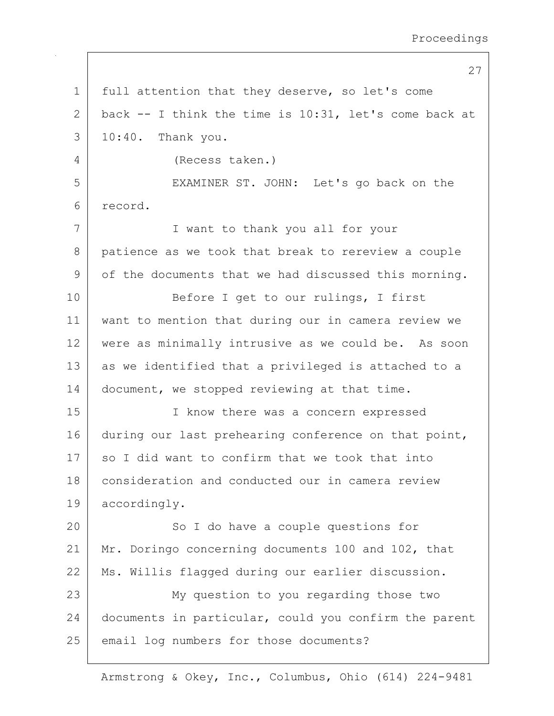1 | full attention that they deserve, so let's come 2 back  $-$  I think the time is 10:31, let's come back at 3 10:40. Thank you. 4 (Recess taken.) 5 EXAMINER ST. JOHN: Let's go back on the 6 record. 7 I want to thank you all for your 8 patience as we took that break to rereview a couple 9 of the documents that we had discussed this morning. 10 Before I get to our rulings, I first 11 want to mention that during our in camera review we 12 were as minimally intrusive as we could be. As soon 13 as we identified that a privileged is attached to a 14 document, we stopped reviewing at that time. 15 | T know there was a concern expressed 16 during our last prehearing conference on that point,  $17$  so I did want to confirm that we took that into 18 consideration and conducted our in camera review 19 accordingly. 20 So I do have a couple questions for 21 Mr. Doringo concerning documents 100 and 102, that 22 | Ms. Willis flagged during our earlier discussion. 23 My question to you regarding those two 24 documents in particular, could you confirm the parent 25 email log numbers for those documents?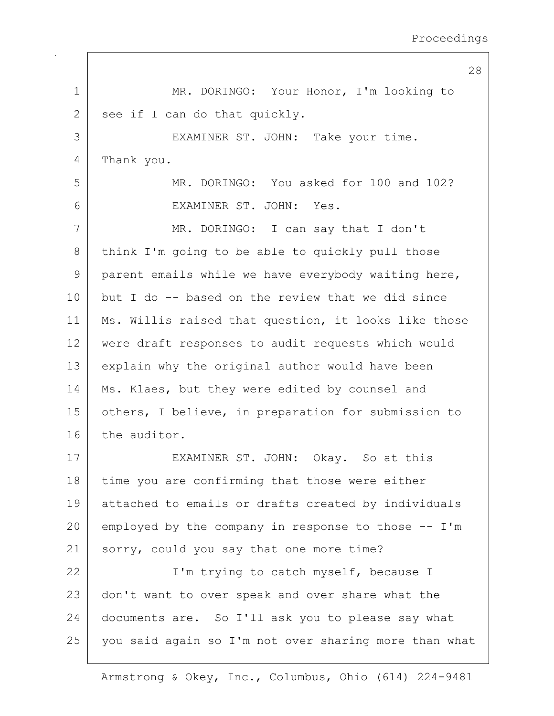1 MR. DORINGO: Your Honor, I'm looking to  $2$  see if I can do that quickly. 3 EXAMINER ST. JOHN: Take your time. 4 Thank you. 5 MR. DORINGO: You asked for 100 and 102? 6 EXAMINER ST. JOHN: Yes. 7 MR. DORINGO: I can say that I don't 8 think I'm going to be able to quickly pull those 9 parent emails while we have everybody waiting here, 10 but I do -- based on the review that we did since 11 | Ms. Willis raised that question, it looks like those 12 were draft responses to audit requests which would 13 explain why the original author would have been 14 | Ms. Klaes, but they were edited by counsel and 15 | others, I believe, in preparation for submission to 16 the auditor. 17 EXAMINER ST. JOHN: Okay. So at this 18 time you are confirming that those were either 19 attached to emails or drafts created by individuals 20 employed by the company in response to those  $-$  I'm 21 sorry, could you say that one more time? 22 | I'm trying to catch myself, because I 23 don't want to over speak and over share what the 24 documents are. So I'll ask you to please say what 25 | you said again so I'm not over sharing more than what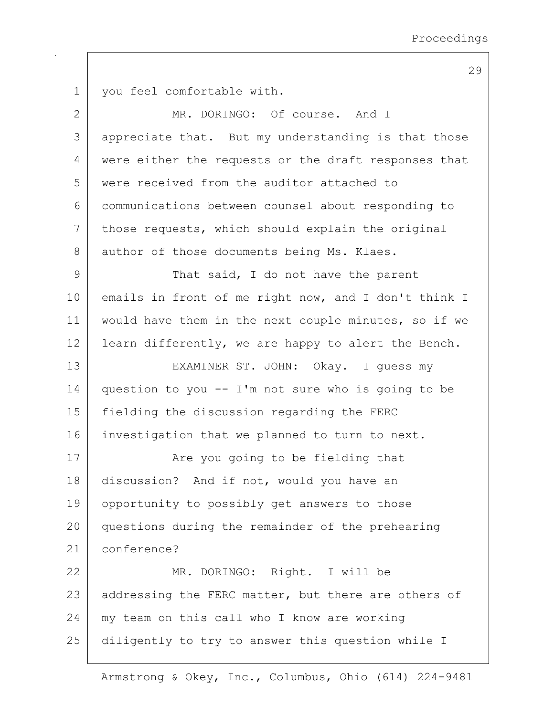1 | you feel comfortable with. 2 MR. DORINGO: Of course. And I 3 appreciate that. But my understanding is that those 4 were either the requests or the draft responses that 5 were received from the auditor attached to 6 communications between counsel about responding to 7 those requests, which should explain the original 8 author of those documents being Ms. Klaes. 9 That said, I do not have the parent 10 emails in front of me right now, and I don't think I 11 | would have them in the next couple minutes, so if we 12 | learn differently, we are happy to alert the Bench. 13 EXAMINER ST. JOHN: Okay. I guess my 14 question to you  $--$  I'm not sure who is going to be 15 fielding the discussion regarding the FERC 16 investigation that we planned to turn to next. 17 | The you going to be fielding that 18 discussion? And if not, would you have an 19 | opportunity to possibly get answers to those 20 questions during the remainder of the prehearing 21 conference? 22 MR. DORINGO: Right. I will be 23 addressing the FERC matter, but there are others of 24 my team on this call who I know are working 25 diligently to try to answer this question while I

Armstrong & Okey, Inc., Columbus, Ohio (614) 224-9481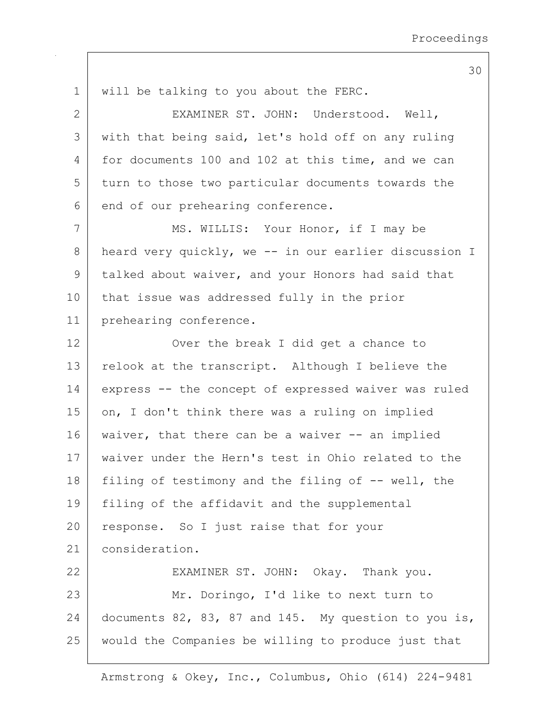1 will be talking to you about the FERC. 2 EXAMINER ST. JOHN: Understood. Well, 3 with that being said, let's hold off on any ruling 4 for documents 100 and 102 at this time, and we can 5 turn to those two particular documents towards the  $6$  end of our prehearing conference. 7 | MS. WILLIS: Your Honor, if I may be 8 heard very quickly, we -- in our earlier discussion I 9 talked about waiver, and your Honors had said that 10 | that issue was addressed fully in the prior 11 prehearing conference. 12 Over the break I did get a chance to 13 relook at the transcript. Although I believe the 14 express -- the concept of expressed waiver was ruled 15 | on, I don't think there was a ruling on implied 16 | waiver, that there can be a waiver -- an implied 17 waiver under the Hern's test in Ohio related to the 18 | filing of testimony and the filing of  $-$  well, the 19 | filing of the affidavit and the supplemental 20 response. So I just raise that for your 21 consideration. 22 EXAMINER ST. JOHN: Okay. Thank you. 23 | Mr. Doringo, I'd like to next turn to 24 documents 82, 83, 87 and 145. My question to you is, 25 would the Companies be willing to produce just that

Armstrong & Okey, Inc., Columbus, Ohio (614) 224-9481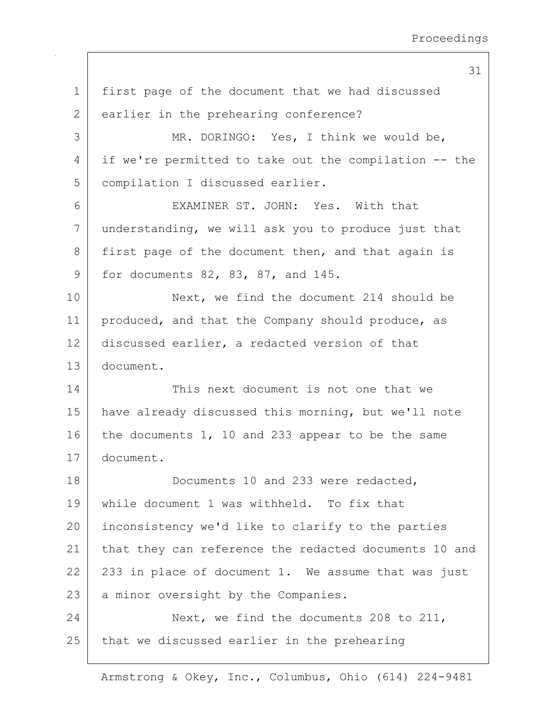1 first page of the document that we had discussed 2 earlier in the prehearing conference? 3 MR. DORINGO: Yes, I think we would be, 4 if we're permitted to take out the compilation -- the 5 | compilation I discussed earlier. 6 EXAMINER ST. JOHN: Yes. With that 7 understanding, we will ask you to produce just that 8 first page of the document then, and that again is 9 for documents 82, 83, 87, and 145. 10 Next, we find the document 214 should be 11 | produced, and that the Company should produce, as 12 discussed earlier, a redacted version of that 13 document. 14 This next document is not one that we 15 have already discussed this morning, but we'll note 16 the documents 1, 10 and 233 appear to be the same 17 document. 18 Documents 10 and 233 were redacted, 19 while document 1 was withheld. To fix that 20 inconsistency we'd like to clarify to the parties 21 | that they can reference the redacted documents 10 and  $22$  233 in place of document 1. We assume that was just 23 a minor oversight by the Companies. 24 Next, we find the documents 208 to 211,  $25$  that we discussed earlier in the prehearing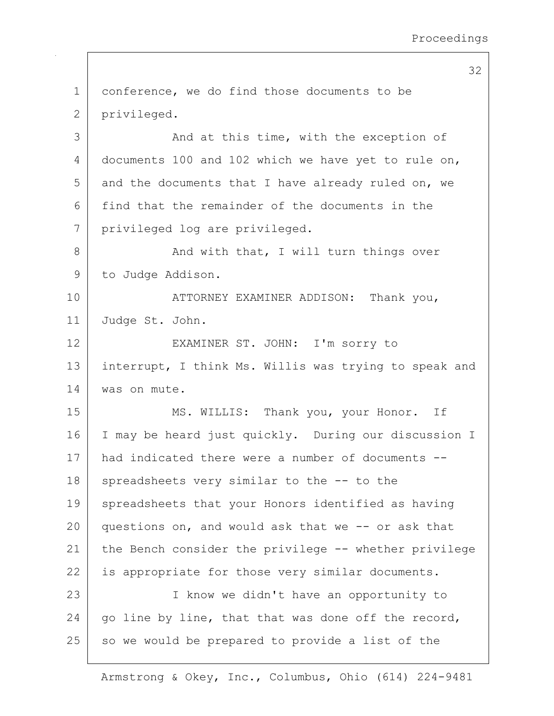1 conference, we do find those documents to be 2 privileged. 3 and at this time, with the exception of 4 documents 100 and 102 which we have yet to rule on,  $5$  and the documents that I have already ruled on, we 6 find that the remainder of the documents in the 7 privileged log are privileged. 8 And with that, I will turn things over 9 to Judge Addison. 10 ATTORNEY EXAMINER ADDISON: Thank you, 11 Judge St. John. 12 EXAMINER ST. JOHN: I'm sorry to 13 | interrupt, I think Ms. Willis was trying to speak and 14 | was on mute. 15 | MS. WILLIS: Thank you, your Honor. If 16 I may be heard just quickly. During our discussion I 17 had indicated there were a number of documents -- 18 | spreadsheets very similar to the -- to the 19 spreadsheets that your Honors identified as having 20 questions on, and would ask that we  $-$ - or ask that 21 the Bench consider the privilege -- whether privilege 22 is appropriate for those very similar documents. 23 I know we didn't have an opportunity to  $24$  go line by line, that that was done off the record,  $25$  so we would be prepared to provide a list of the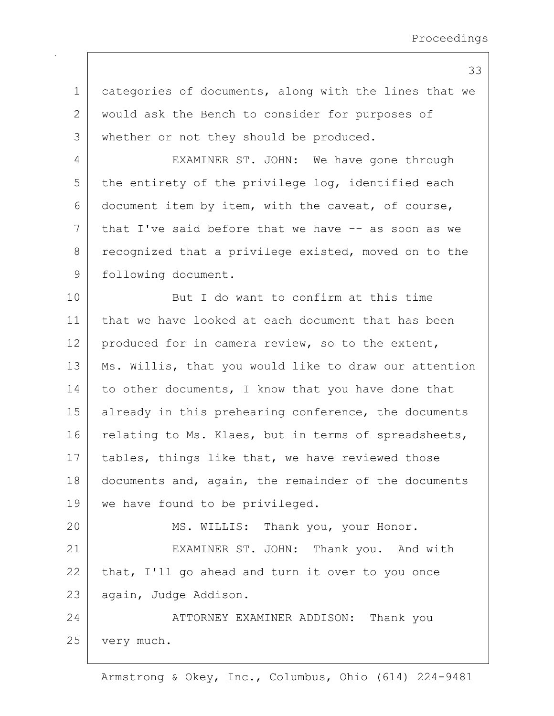1 categories of documents, along with the lines that we 2 | would ask the Bench to consider for purposes of 3 | whether or not they should be produced. 4 EXAMINER ST. JOHN: We have gone through  $5$  the entirety of the privilege log, identified each 6 document item by item, with the caveat, of course,  $7$  that I've said before that we have  $-$  as soon as we 8 recognized that a privilege existed, moved on to the 9 | following document. 10 But I do want to confirm at this time 11 that we have looked at each document that has been 12 | produced for in camera review, so to the extent, 13 | Ms. Willis, that you would like to draw our attention 14 to other documents, I know that you have done that 15 | already in this prehearing conference, the documents 16 relating to Ms. Klaes, but in terms of spreadsheets, 17 | tables, things like that, we have reviewed those 18 documents and, again, the remainder of the documents 19 | we have found to be privileged. 20 MS. WILLIS: Thank you, your Honor. 21 EXAMINER ST. JOHN: Thank you. And with  $22$  that, I'll go ahead and turn it over to you once 23 | again, Judge Addison. 24 ATTORNEY EXAMINER ADDISON: Thank you 25 very much.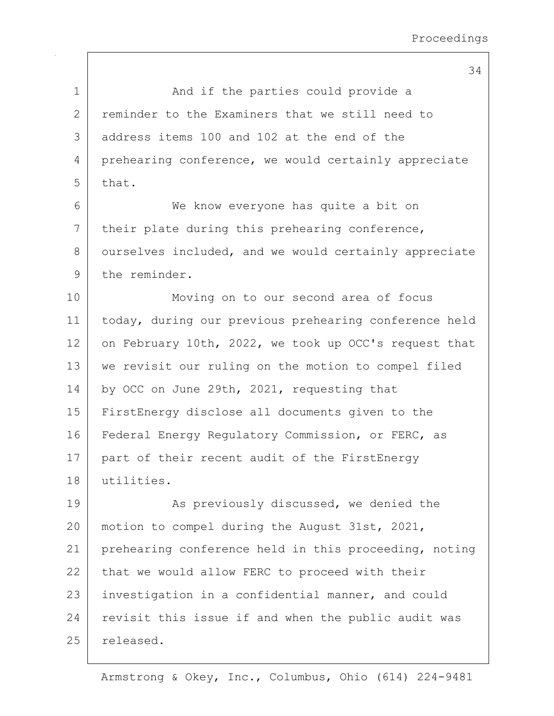| $\mathbf 1$  | And if the parties could provide a                    |
|--------------|-------------------------------------------------------|
| $\mathbf{2}$ | reminder to the Examiners that we still need to       |
| 3            | address items 100 and 102 at the end of the           |
| 4            | prehearing conference, we would certainly appreciate  |
| 5            | that.                                                 |
| 6            | We know everyone has quite a bit on                   |
| 7            | their plate during this prehearing conference,        |
| 8            | ourselves included, and we would certainly appreciate |
| 9            | the reminder.                                         |
| 10           | Moving on to our second area of focus                 |
| 11           | today, during our previous prehearing conference held |
| 12           | on February 10th, 2022, we took up OCC's request that |
| 13           | we revisit our ruling on the motion to compel filed   |
| 14           | by OCC on June 29th, 2021, requesting that            |
| 15           | FirstEnergy disclose all documents given to the       |
| 16           | Federal Energy Regulatory Commission, or FERC, as     |
| 17           | part of their recent audit of the FirstEnergy         |
| 18           | utilities.                                            |
| 19           | As previously discussed, we denied the                |
| 20           | motion to compel during the August 31st, 2021,        |
| 21           | prehearing conference held in this proceeding, noting |
| 22           | that we would allow FERC to proceed with their        |
| 23           | investigation in a confidential manner, and could     |
| 24           | revisit this issue if and when the public audit was   |
| 25           | released.                                             |
|              |                                                       |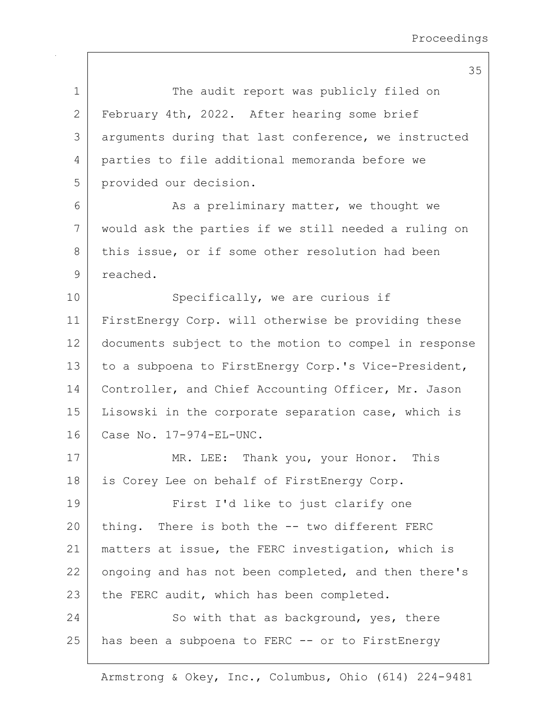| $\mathbf 1$  | The audit report was publicly filed on                |
|--------------|-------------------------------------------------------|
| $\mathbf{2}$ | February 4th, 2022. After hearing some brief          |
| 3            | arguments during that last conference, we instructed  |
| 4            | parties to file additional memoranda before we        |
| 5            | provided our decision.                                |
| 6            | As a preliminary matter, we thought we                |
| 7            | would ask the parties if we still needed a ruling on  |
| 8            | this issue, or if some other resolution had been      |
| $\mathsf 9$  | reached.                                              |
| 10           | Specifically, we are curious if                       |
| 11           | FirstEnergy Corp. will otherwise be providing these   |
| 12           | documents subject to the motion to compel in response |
| 13           | to a subpoena to FirstEnergy Corp.'s Vice-President,  |
| 14           | Controller, and Chief Accounting Officer, Mr. Jason   |
| 15           | Lisowski in the corporate separation case, which is   |
| 16           | Case No. 17-974-EL-UNC.                               |
| 17           | MR. LEE: Thank you, your Honor.<br>This               |
| 18           | is Corey Lee on behalf of FirstEnergy Corp.           |
| 19           | First I'd like to just clarify one                    |
| 20           | thing. There is both the -- two different FERC        |
| 21           | matters at issue, the FERC investigation, which is    |
| 22           | ongoing and has not been completed, and then there's  |
| 23           | the FERC audit, which has been completed.             |
| 24           | So with that as background, yes, there                |
| 25           | has been a subpoena to FERC -- or to FirstEnergy      |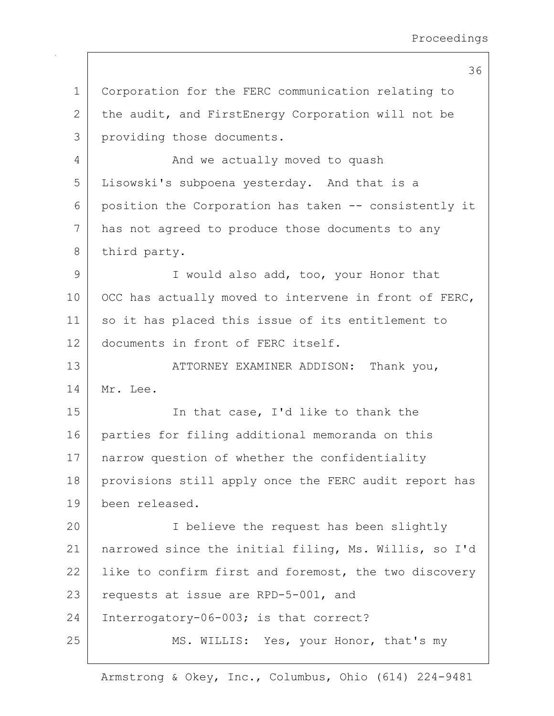1 Corporation for the FERC communication relating to 2 the audit, and FirstEnergy Corporation will not be 3 providing those documents. 4 And we actually moved to quash 5 Lisowski's subpoena yesterday. And that is a 6 position the Corporation has taken -- consistently it 7 has not agreed to produce those documents to any 8 third party. 9 I would also add, too, your Honor that 10 OCC has actually moved to intervene in front of FERC, 11 so it has placed this issue of its entitlement to 12 documents in front of FERC itself. 13 ATTORNEY EXAMINER ADDISON: Thank you, 14 Mr. Lee. 15 In that case, I'd like to thank the 16 parties for filing additional memoranda on this 17 | narrow question of whether the confidentiality 18 | provisions still apply once the FERC audit report has 19 been released. 20 I believe the request has been slightly 21 narrowed since the initial filing, Ms. Willis, so I'd 22 | like to confirm first and foremost, the two discovery 23 requests at issue are RPD-5-001, and 24 Interrogatory-06-003; is that correct? 25 MS. WILLIS: Yes, your Honor, that's my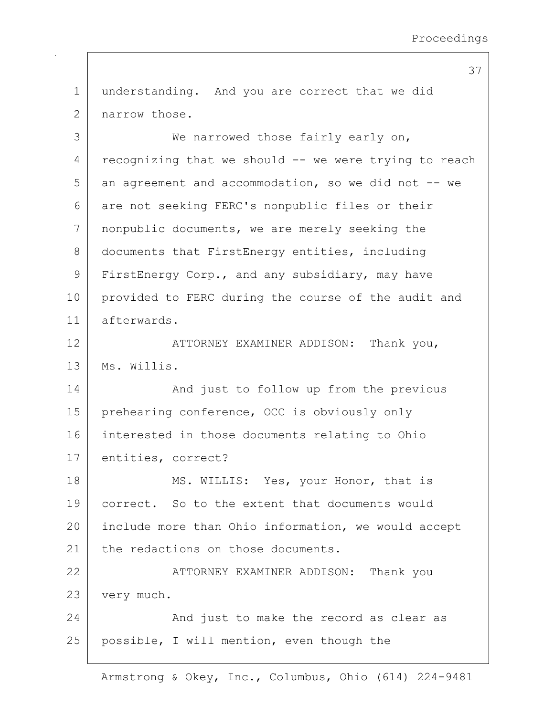1 understanding. And you are correct that we did 2 | narrow those.

3 We narrowed those fairly early on,  $4$  recognizing that we should  $-$  we were trying to reach  $5$  an agreement and accommodation, so we did not  $-$ - we 6 are not seeking FERC's nonpublic files or their 7 nonpublic documents, we are merely seeking the 8 documents that FirstEnergy entities, including 9 FirstEnergy Corp., and any subsidiary, may have 10 provided to FERC during the course of the audit and 11 afterwards.

12 ATTORNEY EXAMINER ADDISON: Thank you, 13 Ms. Willis.

14 | And just to follow up from the previous 15 | prehearing conference, OCC is obviously only 16 interested in those documents relating to Ohio 17 entities, correct?

18 MS. WILLIS: Yes, your Honor, that is 19 correct. So to the extent that documents would 20 include more than Ohio information, we would accept 21 the redactions on those documents.

22 | ATTORNEY EXAMINER ADDISON: Thank you 23 very much.

24 And just to make the record as clear as 25 | possible, I will mention, even though the

Armstrong & Okey, Inc., Columbus, Ohio (614) 224-9481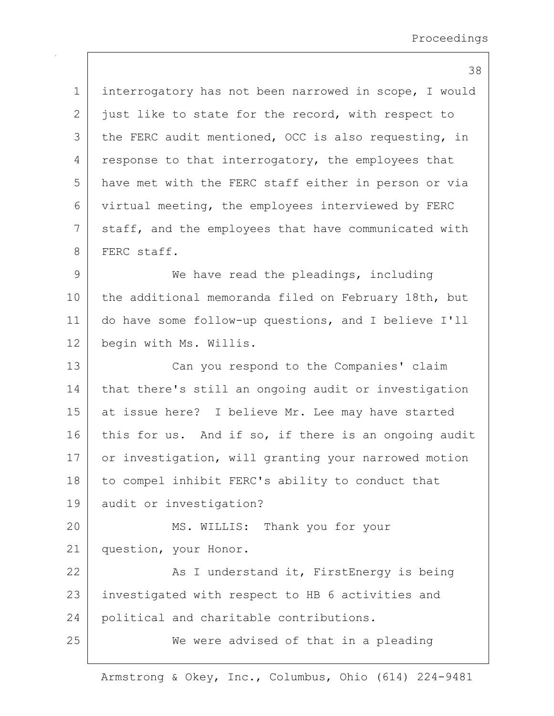1 interrogatory has not been narrowed in scope, I would  $2$  just like to state for the record, with respect to  $3$  the FERC audit mentioned, OCC is also requesting, in  $4$  response to that interrogatory, the employees that 5 have met with the FERC staff either in person or via 6 virtual meeting, the employees interviewed by FERC 7 staff, and the employees that have communicated with 8 FERC staff. 9 We have read the pleadings, including 10 the additional memoranda filed on February 18th, but 11 do have some follow-up questions, and I believe I'll 12 begin with Ms. Willis. 13 Can you respond to the Companies' claim 14 that there's still an ongoing audit or investigation 15 at issue here? I believe Mr. Lee may have started 16 this for us. And if so, if there is an ongoing audit 17 or investigation, will granting your narrowed motion 18 to compel inhibit FERC's ability to conduct that 19 audit or investigation? 20 MS. WILLIS: Thank you for your 21 question, your Honor. 22 As I understand it, FirstEnergy is being 23 | investigated with respect to HB 6 activities and 24 political and charitable contributions. 25 We were advised of that in a pleading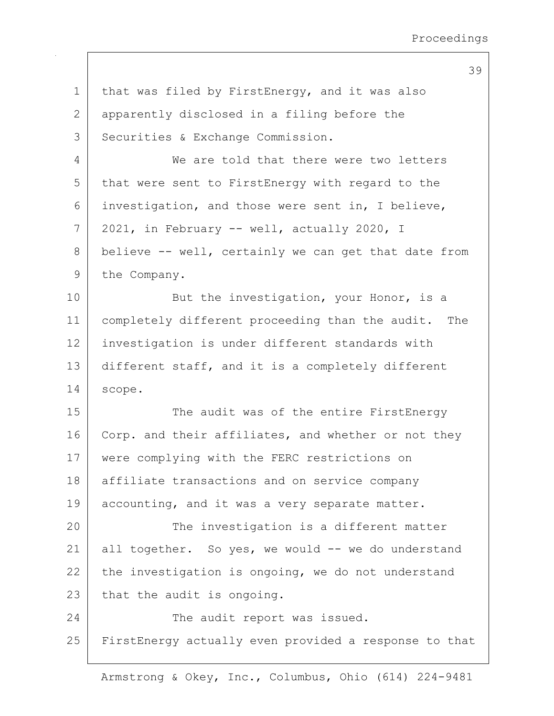1 | that was filed by FirstEnergy, and it was also 2 apparently disclosed in a filing before the 3 | Securities & Exchange Commission. 4 We are told that there were two letters 5 that were sent to FirstEnergy with regard to the 6 investigation, and those were sent in, I believe,  $7$  | 2021, in February -- well, actually 2020, I 8 believe -- well, certainly we can get that date from 9 the Company. 10 But the investigation, your Honor, is a 11 completely different proceeding than the audit. The 12 investigation is under different standards with 13 different staff, and it is a completely different 14 scope. 15 The audit was of the entire FirstEnergy 16 Corp. and their affiliates, and whether or not they 17 | were complying with the FERC restrictions on 18 | affiliate transactions and on service company 19 accounting, and it was a very separate matter. 20 The investigation is a different matter 21 all together. So yes, we would  $-$  we do understand 22 the investigation is ongoing, we do not understand 23 that the audit is ongoing. 24 The audit report was issued. 25 FirstEnergy actually even provided a response to that

Armstrong & Okey, Inc., Columbus, Ohio (614) 224-9481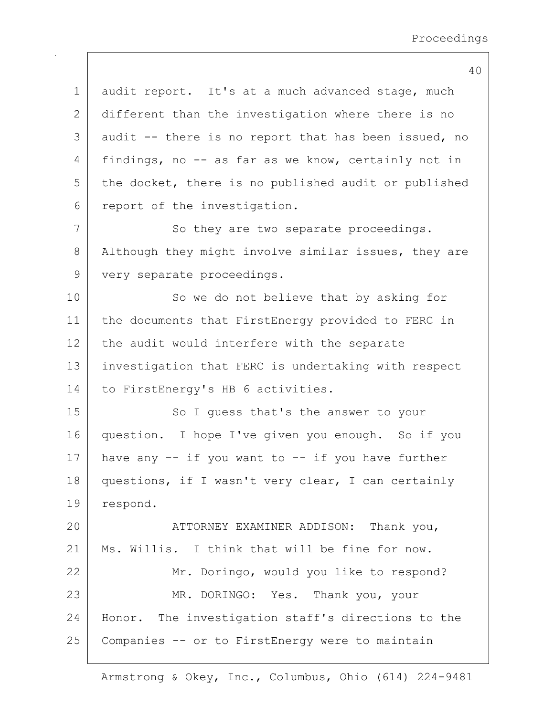1 audit report. It's at a much advanced stage, much 2 different than the investigation where there is no  $3$  audit  $-$  there is no report that has been issued, no 4 findings, no -- as far as we know, certainly not in  $5$  the docket, there is no published audit or published 6 report of the investigation. 7 So they are two separate proceedings. 8 Although they might involve similar issues, they are 9 very separate proceedings. 10 So we do not believe that by asking for 11 the documents that FirstEnergy provided to FERC in 12 the audit would interfere with the separate 13 investigation that FERC is undertaking with respect 14 | to FirstEnergy's HB 6 activities. 15 | So I guess that's the answer to your 16 question. I hope I've given you enough. So if you 17 | have any  $-$  if you want to  $-$  if you have further 18 questions, if I wasn't very clear, I can certainly 19 respond. 20 | ATTORNEY EXAMINER ADDISON: Thank you, 21 | Ms. Willis. I think that will be fine for now. 22 Mr. Doringo, would you like to respond? 23 MR. DORINGO: Yes. Thank you, your 24 Honor. The investigation staff's directions to the 25 Companies -- or to FirstEnergy were to maintain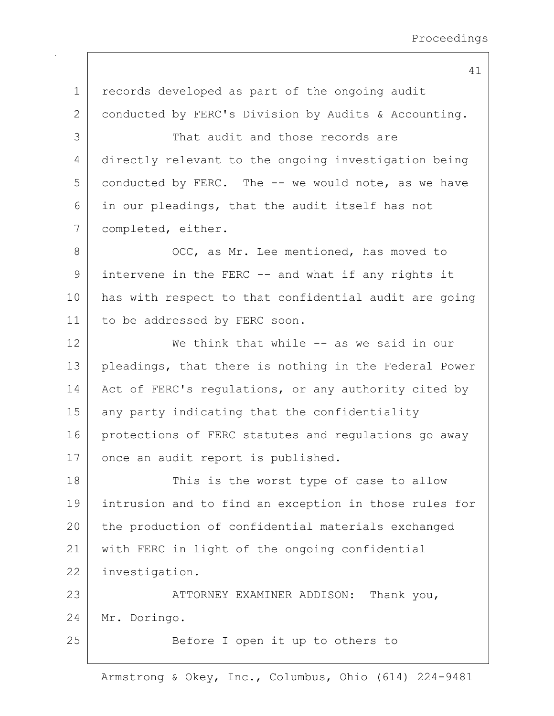| $\mathbf 1$ | records developed as part of the ongoing audit        |
|-------------|-------------------------------------------------------|
| 2           | conducted by FERC's Division by Audits & Accounting.  |
| 3           | That audit and those records are                      |
| 4           | directly relevant to the ongoing investigation being  |
| 5           | conducted by FERC. The -- we would note, as we have   |
| 6           | in our pleadings, that the audit itself has not       |
| 7           | completed, either.                                    |
| 8           | OCC, as Mr. Lee mentioned, has moved to               |
| 9           | intervene in the FERC -- and what if any rights it    |
| 10          | has with respect to that confidential audit are going |
| 11          | to be addressed by FERC soon.                         |
| 12          | We think that while -- as we said in our              |
| 13          | pleadings, that there is nothing in the Federal Power |
| 14          | Act of FERC's regulations, or any authority cited by  |
| 15          | any party indicating that the confidentiality         |
| 16          | protections of FERC statutes and regulations go away  |
| 17          | once an audit report is published.                    |
| 18          | This is the worst type of case to allow               |
| 19          | intrusion and to find an exception in those rules for |
| 20          | the production of confidential materials exchanged    |
| 21          | with FERC in light of the ongoing confidential        |
| 22          | investigation.                                        |
| 23          | ATTORNEY EXAMINER ADDISON: Thank you,                 |
| 24          | Mr. Doringo.                                          |
| 25          | Before I open it up to others to                      |
|             |                                                       |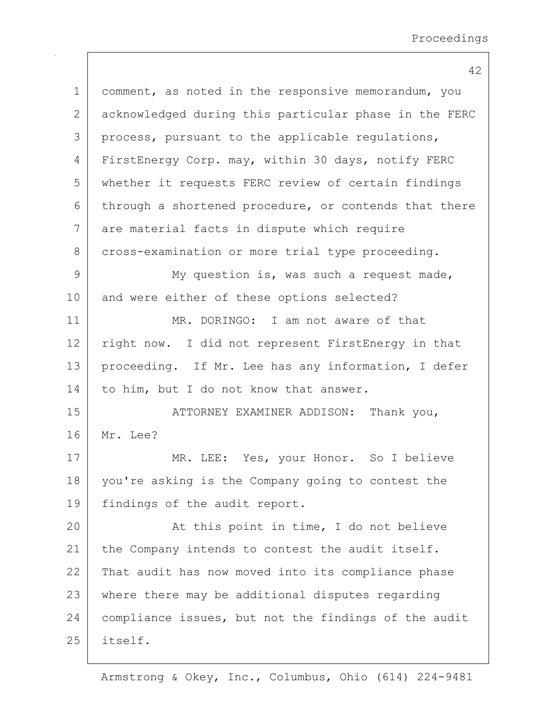1 comment, as noted in the responsive memorandum, you 2 acknowledged during this particular phase in the FERC 3 process, pursuant to the applicable regulations, 4 FirstEnergy Corp. may, within 30 days, notify FERC 5 whether it requests FERC review of certain findings  $6$  through a shortened procedure, or contends that there 7 are material facts in dispute which require 8 cross-examination or more trial type proceeding. 9 My question is, was such a request made, 10 and were either of these options selected? 11 MR. DORINGO: I am not aware of that 12 right now. I did not represent FirstEnergy in that 13 | proceeding. If Mr. Lee has any information, I defer 14 to him, but I do not know that answer. 15 | ATTORNEY EXAMINER ADDISON: Thank you, 16 Mr. Lee? 17 MR. LEE: Yes, your Honor. So I believe 18 you're asking is the Company going to contest the 19 | findings of the audit report. 20 At this point in time, I do not believe 21 | the Company intends to contest the audit itself. 22 That audit has now moved into its compliance phase 23 where there may be additional disputes regarding 24 compliance issues, but not the findings of the audit 25 itself.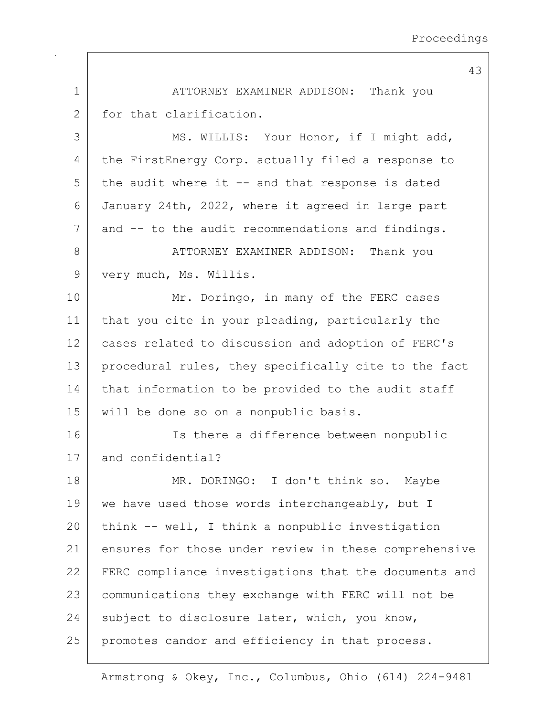43 1 ATTORNEY EXAMINER ADDISON: Thank you 2 for that clarification. 3 | MS. WILLIS: Your Honor, if I might add, 4 the FirstEnergy Corp. actually filed a response to  $5$  the audit where it  $-$  and that response is dated 6 January 24th, 2022, where it agreed in large part 7 and -- to the audit recommendations and findings. 8 ATTORNEY EXAMINER ADDISON: Thank you 9 | very much, Ms. Willis. 10 Mr. Doringo, in many of the FERC cases 11 | that you cite in your pleading, particularly the 12 cases related to discussion and adoption of FERC's 13 | procedural rules, they specifically cite to the fact 14 that information to be provided to the audit staff 15 will be done so on a nonpublic basis. 16 Is there a difference between nonpublic 17 and confidential? 18 | MR. DORINGO: I don't think so. Maybe 19 we have used those words interchangeably, but I 20 think  $--$  well, I think a nonpublic investigation 21 ensures for those under review in these comprehensive 22 FERC compliance investigations that the documents and 23 communications they exchange with FERC will not be 24 subject to disclosure later, which, you know, 25 promotes candor and efficiency in that process.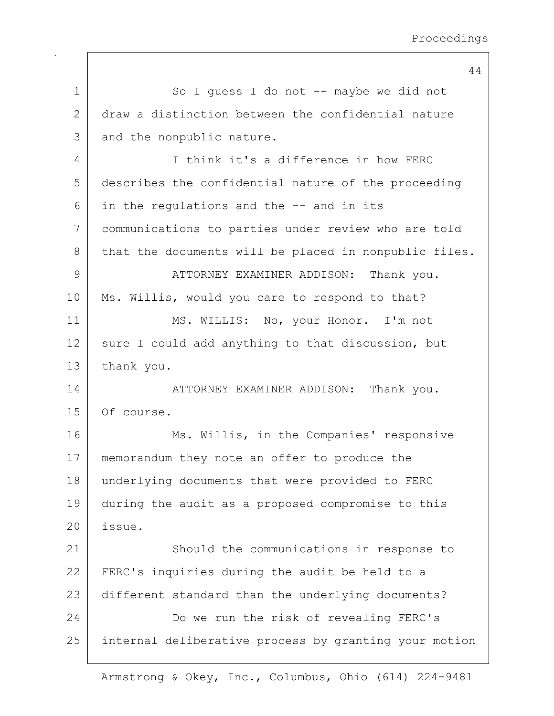44 1 So I guess I do not -- maybe we did not 2 draw a distinction between the confidential nature 3 and the nonpublic nature. 4 I think it's a difference in how FERC 5 describes the confidential nature of the proceeding  $6$  in the regulations and the  $-$  and in its 7 communications to parties under review who are told 8 that the documents will be placed in nonpublic files. 9 ATTORNEY EXAMINER ADDISON: Thank you. 10 | Ms. Willis, would you care to respond to that? 11 MS. WILLIS: No, your Honor. I'm not 12 sure I could add anything to that discussion, but 13 thank you. 14 ATTORNEY EXAMINER ADDISON: Thank you. 15 Of course. 16 Ms. Willis, in the Companies' responsive 17 | memorandum they note an offer to produce the 18 underlying documents that were provided to FERC 19 during the audit as a proposed compromise to this 20 issue. 21 Should the communications in response to 22 FERC's inquiries during the audit be held to a 23 different standard than the underlying documents? 24 Do we run the risk of revealing FERC's 25 internal deliberative process by granting your motion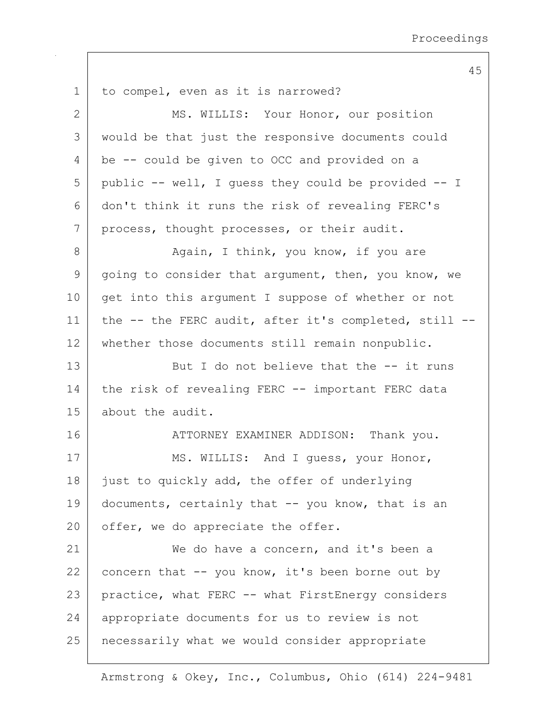1 to compel, even as it is narrowed? 2 MS. WILLIS: Your Honor, our position 3 would be that just the responsive documents could 4 be -- could be given to OCC and provided on a  $5$  public -- well, I quess they could be provided -- I 6 don't think it runs the risk of revealing FERC's 7 | process, thought processes, or their audit. 8 Again, I think, you know, if you are  $9$  going to consider that argument, then, you know, we 10 get into this argument I suppose of whether or not 11 the -- the FERC audit, after it's completed, still -- 12 whether those documents still remain nonpublic. 13 But I do not believe that the -- it runs 14 the risk of revealing FERC -- important FERC data 15 about the audit. 16 ATTORNEY EXAMINER ADDISON: Thank you. 17 MS. WILLIS: And I guess, your Honor, 18 just to quickly add, the offer of underlying 19 documents, certainly that  $-$  you know, that is an 20 offer, we do appreciate the offer. 21 | We do have a concern, and it's been a 22 concern that  $--$  you know, it's been borne out by 23 | practice, what FERC -- what FirstEnergy considers 24 | appropriate documents for us to review is not 25 necessarily what we would consider appropriate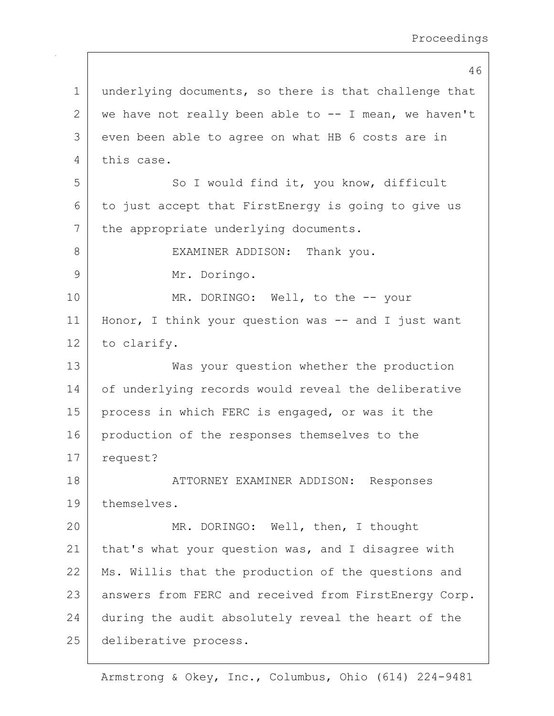46 1 underlying documents, so there is that challenge that 2 we have not really been able to  $-$ - I mean, we haven't 3 even been able to agree on what HB 6 costs are in 4 this case. 5 So I would find it, you know, difficult  $6$  to just accept that FirstEnergy is going to give us 7 the appropriate underlying documents. 8 | EXAMINER ADDISON: Thank you. 9 Mr. Doringo. 10 MR. DORINGO: Well, to the -- your 11 Honor, I think your question was -- and I just want 12 to clarify. 13 Was your question whether the production 14 of underlying records would reveal the deliberative 15 | process in which FERC is engaged, or was it the 16 production of the responses themselves to the 17 | request? 18 | ATTORNEY EXAMINER ADDISON: Responses 19 themselves. 20 MR. DORINGO: Well, then, I thought 21 | that's what your question was, and I disagree with 22 | Ms. Willis that the production of the questions and 23 | answers from FERC and received from FirstEnergy Corp. 24 during the audit absolutely reveal the heart of the 25 deliberative process.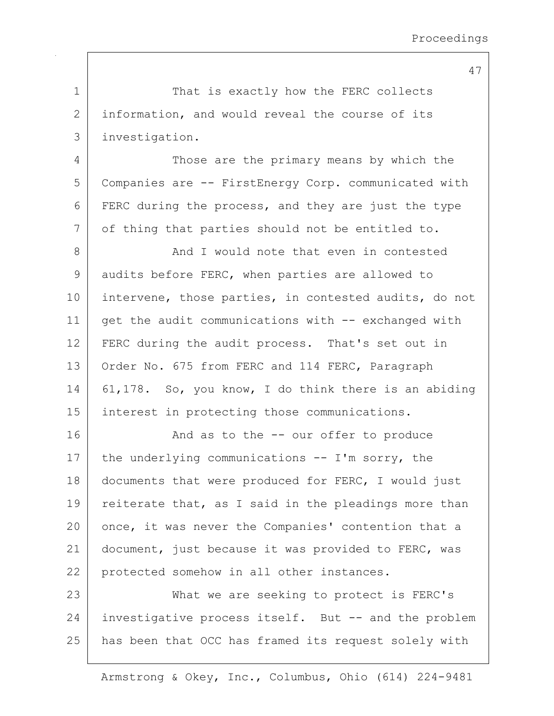|              | 47                                                    |
|--------------|-------------------------------------------------------|
| 1            | That is exactly how the FERC collects                 |
| $\mathbf{2}$ | information, and would reveal the course of its       |
| 3            | investigation.                                        |
| 4            | Those are the primary means by which the              |
| 5            | Companies are -- FirstEnergy Corp. communicated with  |
| 6            | FERC during the process, and they are just the type   |
| 7            | of thing that parties should not be entitled to.      |
| 8            | And I would note that even in contested               |
| 9            | audits before FERC, when parties are allowed to       |
| 10           | intervene, those parties, in contested audits, do not |
| 11           | get the audit communications with -- exchanged with   |
| 12           | FERC during the audit process. That's set out in      |
| 13           | Order No. 675 from FERC and 114 FERC, Paragraph       |
| 14           | 61,178. So, you know, I do think there is an abiding  |
| 15           | interest in protecting those communications.          |
| 16           | And as to the -- our offer to produce                 |
| 17           | the underlying communications -- I'm sorry, the       |
| 18           | documents that were produced for FERC, I would just   |
| 19           | reiterate that, as I said in the pleadings more than  |
| 20           | once, it was never the Companies' contention that a   |
| 21           | document, just because it was provided to FERC, was   |
| 22           | protected somehow in all other instances.             |
| 23           | What we are seeking to protect is FERC's              |
| 24           | investigative process itself. But -- and the problem  |
| 25           | has been that OCC has framed its request solely with  |
|              |                                                       |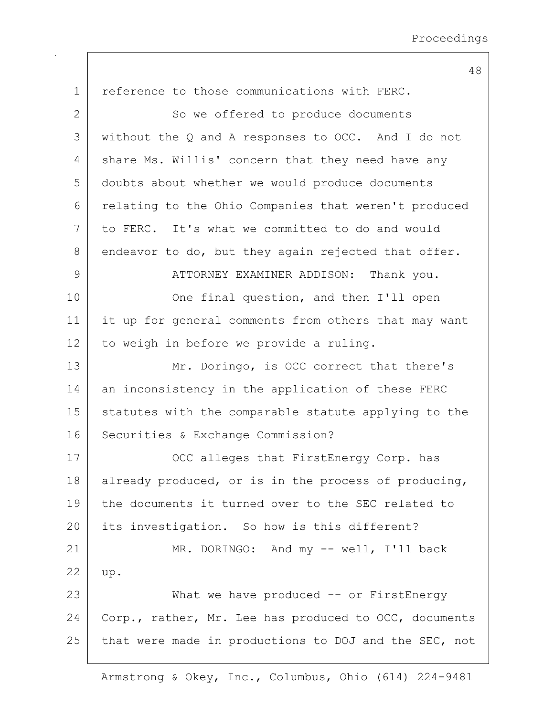| $\mathbf 1$  | reference to those communications with FERC.          |
|--------------|-------------------------------------------------------|
| $\mathbf{2}$ | So we offered to produce documents                    |
| 3            | without the Q and A responses to OCC. And I do not    |
| 4            | share Ms. Willis' concern that they need have any     |
| 5            | doubts about whether we would produce documents       |
| 6            | relating to the Ohio Companies that weren't produced  |
| 7            | to FERC. It's what we committed to do and would       |
| 8            | endeavor to do, but they again rejected that offer.   |
| 9            | ATTORNEY EXAMINER ADDISON:<br>Thank you.              |
| 10           | One final question, and then I'll open                |
| 11           | it up for general comments from others that may want  |
| 12           | to weigh in before we provide a ruling.               |
| 13           | Mr. Doringo, is OCC correct that there's              |
| 14           | an inconsistency in the application of these FERC     |
| 15           | statutes with the comparable statute applying to the  |
| 16           | Securities & Exchange Commission?                     |
| 17           | OCC alleges that FirstEnergy Corp. has                |
| 18           | already produced, or is in the process of producing,  |
| 19           | the documents it turned over to the SEC related to    |
| 20           | its investigation. So how is this different?          |
| 21           | MR. DORINGO: And my -- well, I'll back                |
| 22           | up.                                                   |
| 23           | What we have produced $--$ or FirstEnergy             |
| 24           | Corp., rather, Mr. Lee has produced to OCC, documents |
| 25           | that were made in productions to DOJ and the SEC, not |

Armstrong & Okey, Inc., Columbus, Ohio (614) 224-9481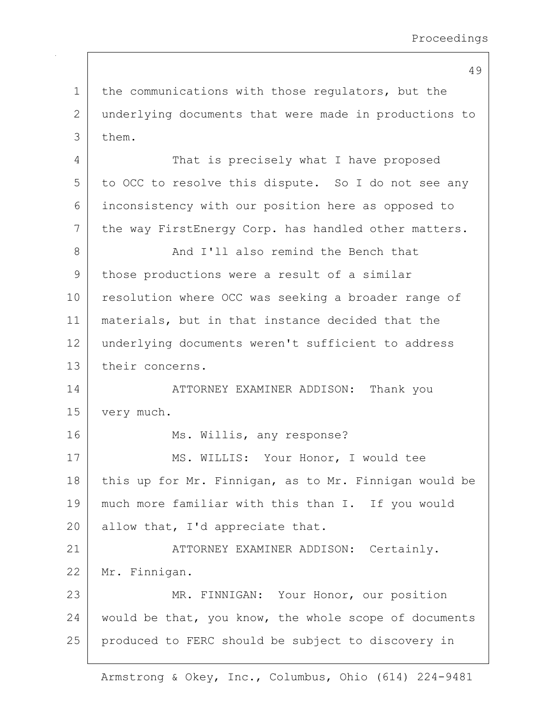1 the communications with those regulators, but the 2 underlying documents that were made in productions to 3 them. 4 That is precisely what I have proposed 5 to OCC to resolve this dispute. So I do not see any 6 inconsistency with our position here as opposed to 7 the way FirstEnergy Corp. has handled other matters. 8 And I'll also remind the Bench that 9 those productions were a result of a similar 10 | resolution where OCC was seeking a broader range of 11 | materials, but in that instance decided that the 12 | underlying documents weren't sufficient to address 13 their concerns. 14 | ATTORNEY EXAMINER ADDISON: Thank you 15 | very much. 16 Ms. Willis, any response? 17 | MS. WILLIS: Your Honor, I would tee 18 this up for Mr. Finnigan, as to Mr. Finnigan would be 19 much more familiar with this than I. If you would  $20$  allow that, I'd appreciate that. 21 | ATTORNEY EXAMINER ADDISON: Certainly. 22 Mr. Finnigan. 23 MR. FINNIGAN: Your Honor, our position 24 | would be that, you know, the whole scope of documents 25 produced to FERC should be subject to discovery in

Armstrong & Okey, Inc., Columbus, Ohio (614) 224-9481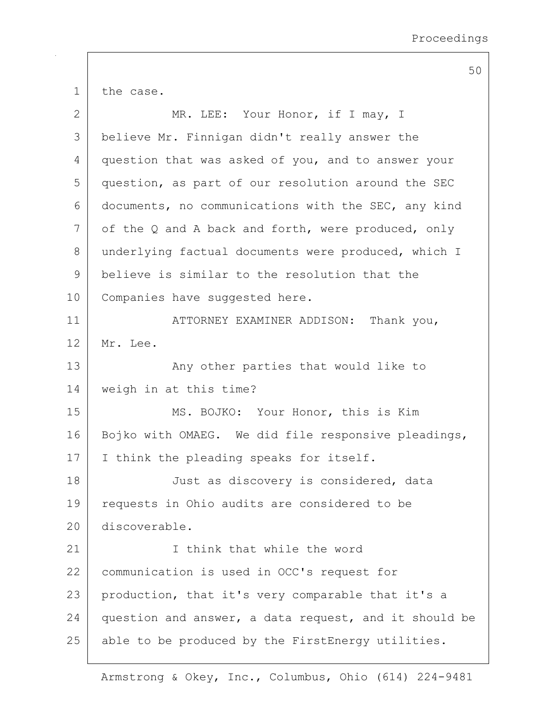1 the case. 2 MR. LEE: Your Honor, if I may, I

3 believe Mr. Finnigan didn't really answer the 4 question that was asked of you, and to answer your 5 question, as part of our resolution around the SEC 6 documents, no communications with the SEC, any kind  $7$  of the Q and A back and forth, were produced, only 8 underlying factual documents were produced, which I 9 believe is similar to the resolution that the 10 | Companies have suggested here.

11 | ATTORNEY EXAMINER ADDISON: Thank you, 12 Mr. Lee.

13 | The Many other parties that would like to 14 weigh in at this time?

15 MS. BOJKO: Your Honor, this is Kim 16 Bojko with OMAEG. We did file responsive pleadings, 17 I think the pleading speaks for itself.

18 Just as discovery is considered, data 19 requests in Ohio audits are considered to be 20 discoverable.

21 I is think that while the word 22 | communication is used in OCC's request for 23 production, that it's very comparable that it's a 24 question and answer, a data request, and it should be 25 able to be produced by the FirstEnergy utilities.

Armstrong & Okey, Inc., Columbus, Ohio (614) 224-9481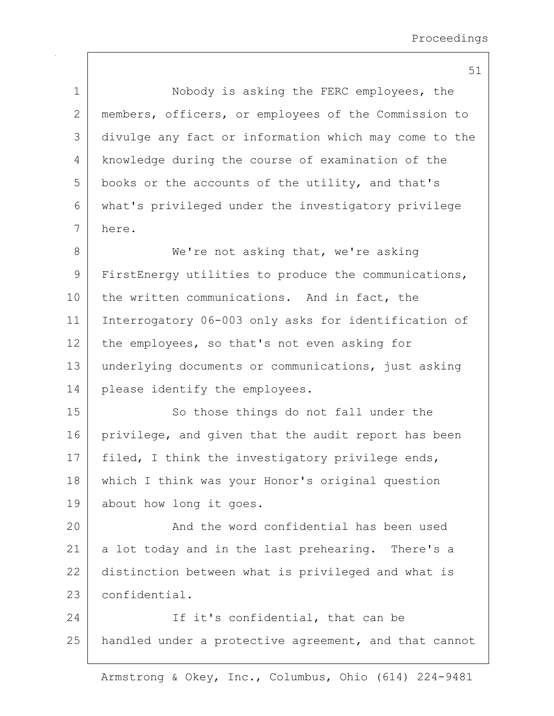51 1 | Nobody is asking the FERC employees, the 2 members, officers, or employees of the Commission to 3 divulge any fact or information which may come to the 4 knowledge during the course of examination of the  $5$  books or the accounts of the utility, and that's 6 what's privileged under the investigatory privilege 7 here. 8 We're not asking that, we're asking 9 FirstEnergy utilities to produce the communications, 10 the written communications. And in fact, the 11 Interrogatory 06-003 only asks for identification of 12 the employees, so that's not even asking for 13 underlying documents or communications, just asking 14 please identify the employees. 15 So those things do not fall under the 16 privilege, and given that the audit report has been 17 | filed, I think the investigatory privilege ends, 18 which I think was your Honor's original question 19 about how long it goes. 20 And the word confidential has been used 21 a lot today and in the last prehearing. There's a 22 distinction between what is privileged and what is 23 confidential. 24 If it's confidential, that can be 25 | handled under a protective agreement, and that cannot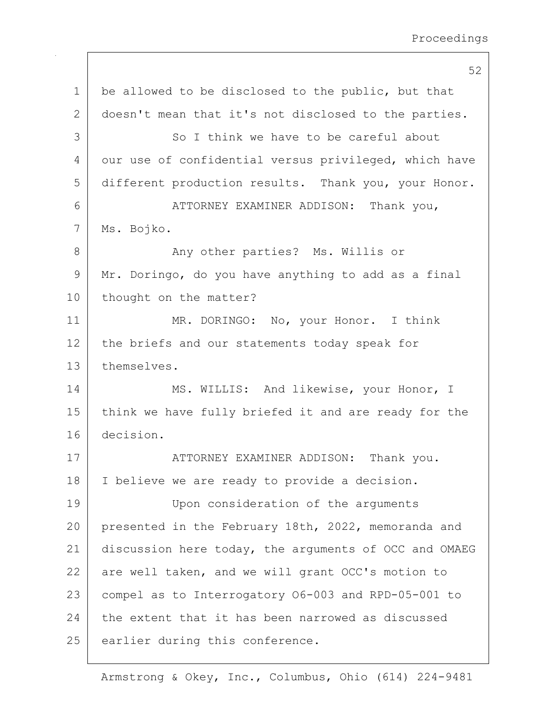52 1 be allowed to be disclosed to the public, but that 2 doesn't mean that it's not disclosed to the parties. 3 So I think we have to be careful about 4 our use of confidential versus privileged, which have 5 different production results. Thank you, your Honor. 6 ATTORNEY EXAMINER ADDISON: Thank you, 7 Ms. Bojko. 8 Any other parties? Ms. Willis or 9 Mr. Doringo, do you have anything to add as a final 10 | thought on the matter? 11 MR. DORINGO: No, your Honor. I think 12 the briefs and our statements today speak for 13 themselves. 14 MS. WILLIS: And likewise, your Honor, I 15 | think we have fully briefed it and are ready for the 16 decision. 17 | ATTORNEY EXAMINER ADDISON: Thank you. 18 | I believe we are ready to provide a decision. 19 Upon consideration of the arguments 20 presented in the February 18th, 2022, memoranda and 21 discussion here today, the arguments of OCC and OMAEG 22 are well taken, and we will grant OCC's motion to 23 compel as to Interrogatory O6-003 and RPD-05-001 to 24 the extent that it has been narrowed as discussed 25 earlier during this conference.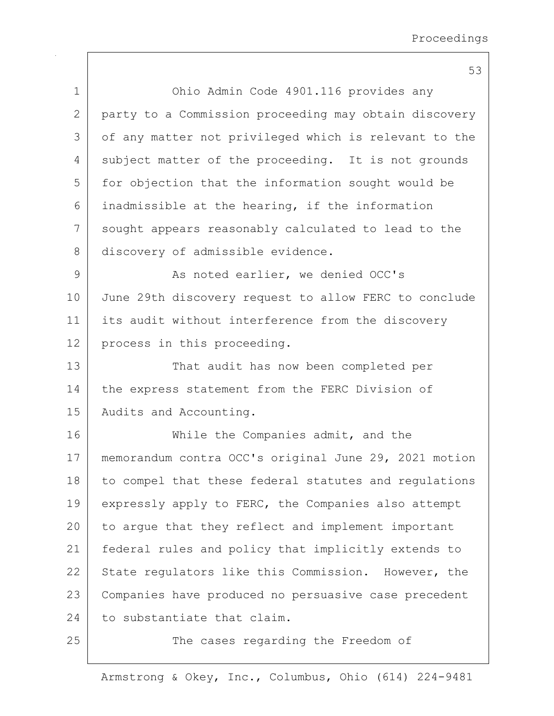| $\mathbf 1$  | Ohio Admin Code 4901.116 provides any                 |
|--------------|-------------------------------------------------------|
| $\mathbf{2}$ | party to a Commission proceeding may obtain discovery |
| 3            | of any matter not privileged which is relevant to the |
| 4            | subject matter of the proceeding. It is not grounds   |
| 5            | for objection that the information sought would be    |
| 6            | inadmissible at the hearing, if the information       |
| 7            | sought appears reasonably calculated to lead to the   |
| 8            | discovery of admissible evidence.                     |
| 9            | As noted earlier, we denied OCC's                     |
| 10           | June 29th discovery request to allow FERC to conclude |
| 11           | its audit without interference from the discovery     |
| 12           | process in this proceeding.                           |
| 13           | That audit has now been completed per                 |
| 14           | the express statement from the FERC Division of       |
| 15           | Audits and Accounting.                                |
| 16           | While the Companies admit, and the                    |
| 17           | memorandum contra OCC's original June 29, 2021 motion |
| 18           | to compel that these federal statutes and regulations |
| 19           | expressly apply to FERC, the Companies also attempt   |
| 20           | to arque that they reflect and implement important    |
| 21           | federal rules and policy that implicitly extends to   |
| 22           | State regulators like this Commission. However, the   |
| 23           | Companies have produced no persuasive case precedent  |
| 24           | to substantiate that claim.                           |
| 25           | The cases regarding the Freedom of                    |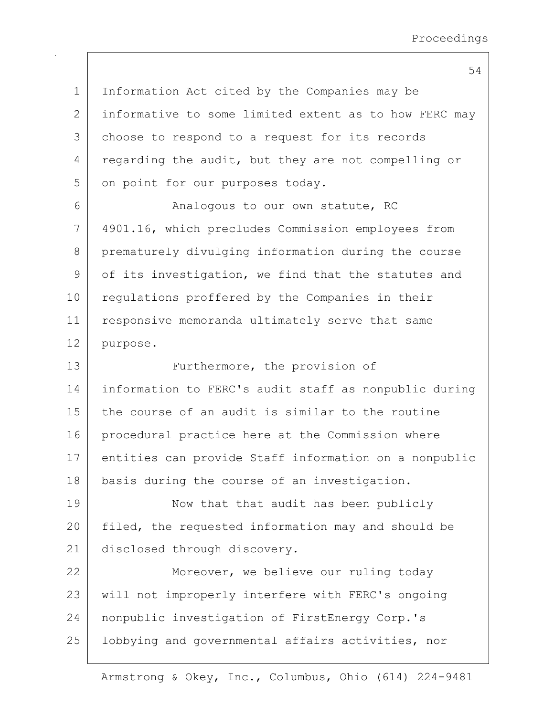1 Information Act cited by the Companies may be 2 informative to some limited extent as to how FERC may 3 | choose to respond to a request for its records 4 regarding the audit, but they are not compelling or 5 on point for our purposes today. 6 Analogous to our own statute, RC 7 4901.16, which precludes Commission employees from 8 prematurely divulging information during the course 9 of its investigation, we find that the statutes and 10 | regulations proffered by the Companies in their 11 responsive memoranda ultimately serve that same 12 purpose. 13 Furthermore, the provision of 14 information to FERC's audit staff as nonpublic during 15 the course of an audit is similar to the routine 16 procedural practice here at the Commission where 17 entities can provide Staff information on a nonpublic 18 | basis during the course of an investigation. 19 | Now that that audit has been publicly 20 filed, the requested information may and should be 21 disclosed through discovery. 22 | Moreover, we believe our ruling today 23 | will not improperly interfere with FERC's ongoing 24 | nonpublic investigation of FirstEnergy Corp.'s 25 | lobbying and governmental affairs activities, nor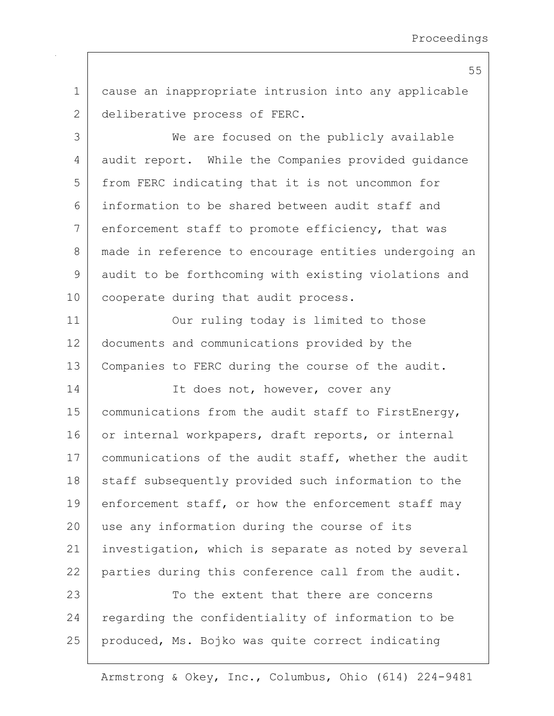1 cause an inappropriate intrusion into any applicable 2 deliberative process of FERC.

3 We are focused on the publicly available 4 audit report. While the Companies provided quidance 5 from FERC indicating that it is not uncommon for 6 information to be shared between audit staff and 7 enforcement staff to promote efficiency, that was 8 made in reference to encourage entities undergoing an 9 audit to be forthcoming with existing violations and 10 | cooperate during that audit process.

11 | Our ruling today is limited to those 12 documents and communications provided by the 13 | Companies to FERC during the course of the audit.

14 It does not, however, cover any 15 | communications from the audit staff to FirstEnergy, 16 or internal workpapers, draft reports, or internal 17 | communications of the audit staff, whether the audit 18 staff subsequently provided such information to the 19 enforcement staff, or how the enforcement staff may 20 use any information during the course of its 21 | investigation, which is separate as noted by several 22 parties during this conference call from the audit.

23 To the extent that there are concerns 24 regarding the confidentiality of information to be 25 produced, Ms. Bojko was quite correct indicating

Armstrong & Okey, Inc., Columbus, Ohio (614) 224-9481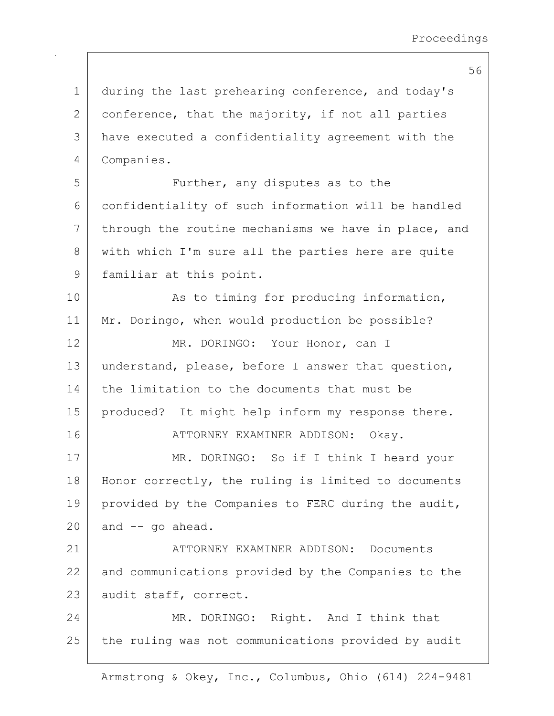1 during the last prehearing conference, and today's 2 conference, that the majority, if not all parties 3 have executed a confidentiality agreement with the 4 Companies. 5 | Further, any disputes as to the 6 confidentiality of such information will be handled  $7$  through the routine mechanisms we have in place, and 8 with which I'm sure all the parties here are quite 9 | familiar at this point. 10 | As to timing for producing information, 11 | Mr. Doringo, when would production be possible? 12 MR. DORINGO: Your Honor, can I 13 understand, please, before I answer that question, 14 the limitation to the documents that must be 15 | produced? It might help inform my response there. 16 ATTORNEY EXAMINER ADDISON: Okav. 17 MR. DORINGO: So if I think I heard your 18 | Honor correctly, the ruling is limited to documents 19 | provided by the Companies to FERC during the audit,  $20$  and  $-$  go ahead. 21 ATTORNEY EXAMINER ADDISON: Documents 22 and communications provided by the Companies to the 23 audit staff, correct. 24 MR. DORINGO: Right. And I think that

25 the ruling was not communications provided by audit

Armstrong & Okey, Inc., Columbus, Ohio (614) 224-9481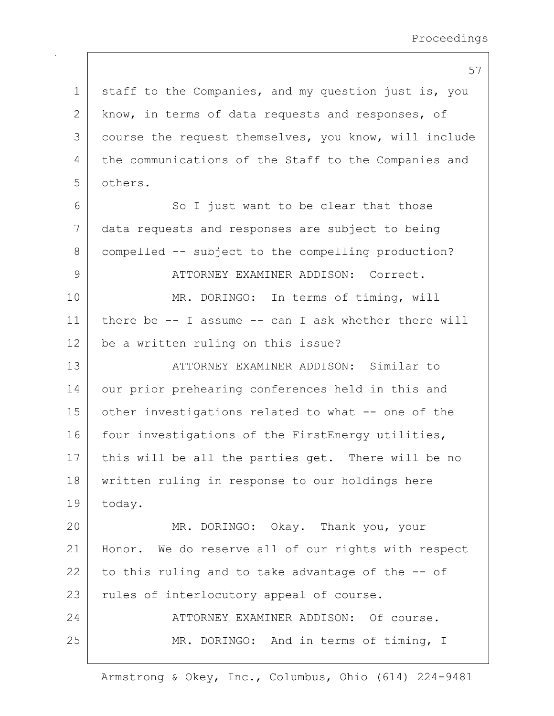57 1 staff to the Companies, and my question just is, you 2 know, in terms of data requests and responses, of 3 course the request themselves, you know, will include 4 the communications of the Staff to the Companies and 5 others. 6 So I just want to be clear that those 7 data requests and responses are subject to being 8 compelled -- subject to the compelling production? 9 ATTORNEY EXAMINER ADDISON: Correct. 10 MR. DORINGO: In terms of timing, will 11 there be -- I assume -- can I ask whether there will 12 be a written ruling on this issue? 13 ATTORNEY EXAMINER ADDISON: Similar to 14 our prior prehearing conferences held in this and 15 other investigations related to what -- one of the 16 four investigations of the FirstEnergy utilities, 17 | this will be all the parties get. There will be no 18 written ruling in response to our holdings here 19 today. 20 MR. DORINGO: Okay. Thank you, your 21 Honor. We do reserve all of our rights with respect 22 to this ruling and to take advantage of the  $-$ - of 23 | rules of interlocutory appeal of course. 24 ATTORNEY EXAMINER ADDISON: Of course. 25 MR. DORINGO: And in terms of timing, I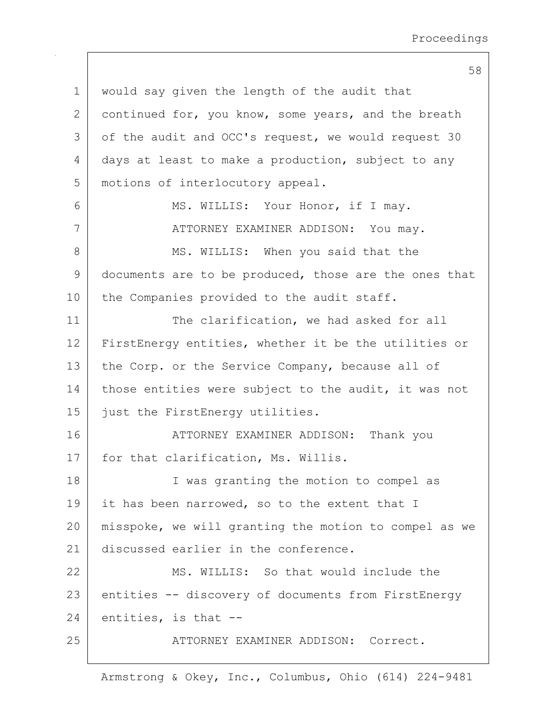1 would say given the length of the audit that 2 continued for, you know, some years, and the breath 3 of the audit and OCC's request, we would request 30 4 days at least to make a production, subject to any 5 motions of interlocutory appeal. 6 MS. WILLIS: Your Honor, if I may. 7 | ATTORNEY EXAMINER ADDISON: You may. 8 MS. WILLIS: When you said that the 9 documents are to be produced, those are the ones that 10 | the Companies provided to the audit staff. 11 The clarification, we had asked for all 12 FirstEnergy entities, whether it be the utilities or 13 the Corp. or the Service Company, because all of 14 those entities were subject to the audit, it was not 15 just the FirstEnergy utilities. 16 ATTORNEY EXAMINER ADDISON: Thank you 17 | for that clarification, Ms. Willis. 18 | I was granting the motion to compel as 19 it has been narrowed, so to the extent that I 20 misspoke, we will granting the motion to compel as we 21 discussed earlier in the conference. 22 MS. WILLIS: So that would include the 23 entities -- discovery of documents from FirstEnergy  $24$  entities, is that  $-$ 25 | ATTORNEY EXAMINER ADDISON: Correct.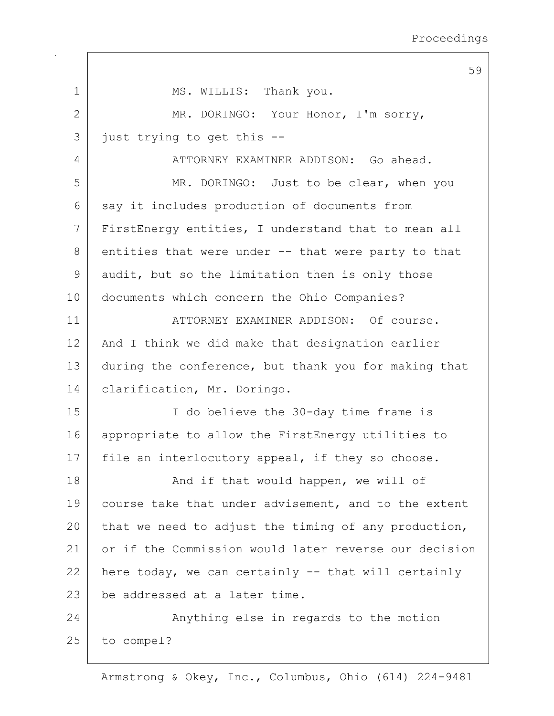59 1 MS. WILLIS: Thank you. 2 MR. DORINGO: Your Honor, I'm sorry, 3 | just trying to get this --4 ATTORNEY EXAMINER ADDISON: Go ahead. 5 MR. DORINGO: Just to be clear, when you  $6$  say it includes production of documents from 7 FirstEnergy entities, I understand that to mean all  $8$  entities that were under  $-$ - that were party to that 9 audit, but so the limitation then is only those 10 documents which concern the Ohio Companies? 11 | ATTORNEY EXAMINER ADDISON: Of course. 12 | And I think we did make that designation earlier 13 during the conference, but thank you for making that 14 | clarification, Mr. Doringo. 15 I do believe the 30-day time frame is 16 appropriate to allow the FirstEnergy utilities to 17 | file an interlocutory appeal, if they so choose. 18 | That would happen, we will of 19 course take that under advisement, and to the extent 20 that we need to adjust the timing of any production, 21 or if the Commission would later reverse our decision 22 here today, we can certainly  $-$  that will certainly 23 be addressed at a later time. 24 Anything else in regards to the motion 25 to compel?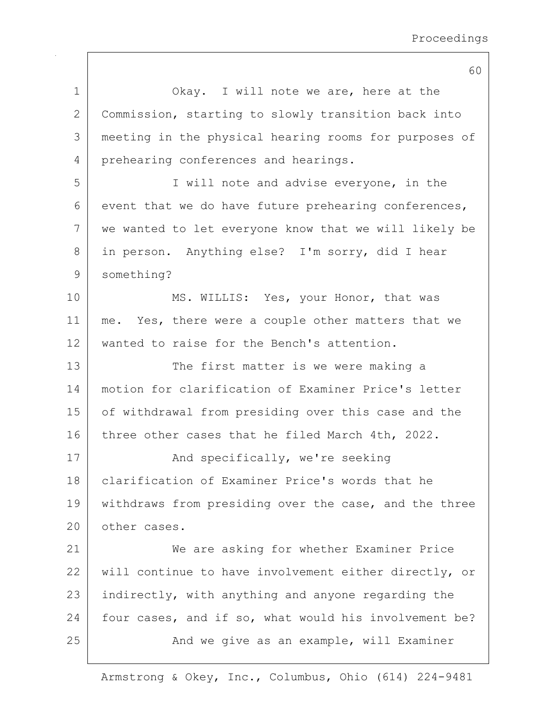|              | 60                                                    |
|--------------|-------------------------------------------------------|
| 1            | Okay. I will note we are, here at the                 |
| $\mathbf{2}$ | Commission, starting to slowly transition back into   |
| 3            | meeting in the physical hearing rooms for purposes of |
| 4            | prehearing conferences and hearings.                  |
| 5            | I will note and advise everyone, in the               |
| 6            | event that we do have future prehearing conferences,  |
| 7            | we wanted to let everyone know that we will likely be |
| 8            | in person. Anything else? I'm sorry, did I hear       |
| $\mathsf 9$  | something?                                            |
| 10           | MS. WILLIS: Yes, your Honor, that was                 |
| 11           | me. Yes, there were a couple other matters that we    |
| 12           | wanted to raise for the Bench's attention.            |
| 13           | The first matter is we were making a                  |
| 14           | motion for clarification of Examiner Price's letter   |
| 15           | of withdrawal from presiding over this case and the   |
| 16           | three other cases that he filed March 4th, 2022.      |
| 17           | And specifically, we're seeking                       |
| 18           | clarification of Examiner Price's words that he       |
| 19           | withdraws from presiding over the case, and the three |
| 20           | other cases.                                          |
| 21           | We are asking for whether Examiner Price              |
| 22           | will continue to have involvement either directly, or |
| 23           | indirectly, with anything and anyone regarding the    |
| 24           | four cases, and if so, what would his involvement be? |
| 25           | And we give as an example, will Examiner              |
|              |                                                       |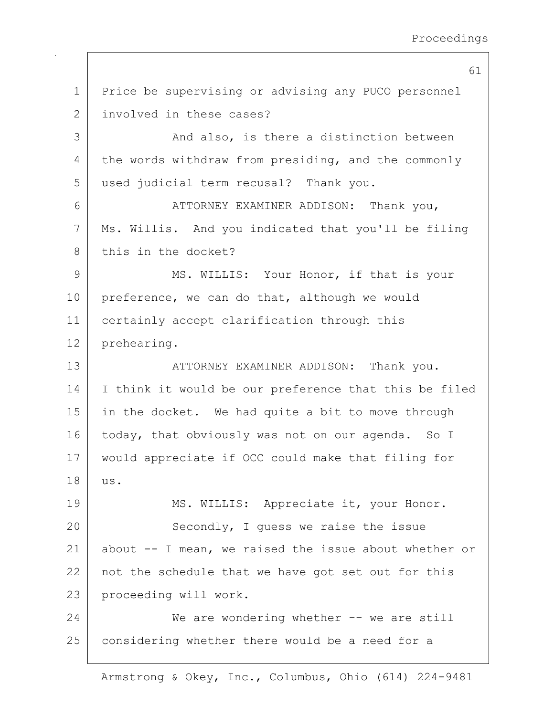1 Price be supervising or advising any PUCO personnel 2 involved in these cases? 3 And also, is there a distinction between 4 the words withdraw from presiding, and the commonly 5 used judicial term recusal? Thank you. 6 ATTORNEY EXAMINER ADDISON: Thank you, 7 Ms. Willis. And you indicated that you'll be filing 8 this in the docket? 9 MS. WILLIS: Your Honor, if that is your 10 | preference, we can do that, although we would 11 certainly accept clarification through this 12 prehearing. 13 ATTORNEY EXAMINER ADDISON: Thank you. 14 I think it would be our preference that this be filed 15 | in the docket. We had quite a bit to move through 16 today, that obviously was not on our agenda. So I 17 would appreciate if OCC could make that filing for 18 us. 19 | MS. WILLIS: Appreciate it, your Honor. 20 Secondly, I quess we raise the issue 21 about -- I mean, we raised the issue about whether or 22 not the schedule that we have got set out for this 23 proceeding will work. 24 We are wondering whether -- we are still 25 considering whether there would be a need for a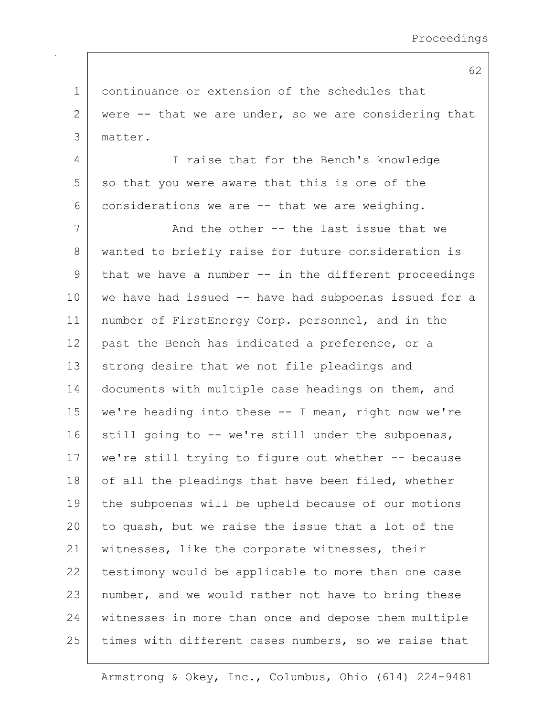1 continuance or extension of the schedules that 2 were  $-$ - that we are under, so we are considering that 3 matter. 4 I raise that for the Bench's knowledge  $5$  so that you were aware that this is one of the 6 considerations we are  $-$  that we are weighing. 7 And the other -- the last issue that we 8 | wanted to briefly raise for future consideration is  $9$  that we have a number  $-$  in the different proceedings 10 we have had issued -- have had subpoenas issued for a 11 | number of FirstEnergy Corp. personnel, and in the 12 past the Bench has indicated a preference, or a 13 strong desire that we not file pleadings and 14 documents with multiple case headings on them, and 15 we're heading into these -- I mean, right now we're 16 still going to  $-$  we're still under the subpoenas, 17 | we're still trying to figure out whether -- because 18 of all the pleadings that have been filed, whether 19 the subpoenas will be upheld because of our motions 20 to quash, but we raise the issue that a lot of the 21 | witnesses, like the corporate witnesses, their 22 | testimony would be applicable to more than one case 23 | number, and we would rather not have to bring these 24 witnesses in more than once and depose them multiple 25 times with different cases numbers, so we raise that

Armstrong & Okey, Inc., Columbus, Ohio (614) 224-9481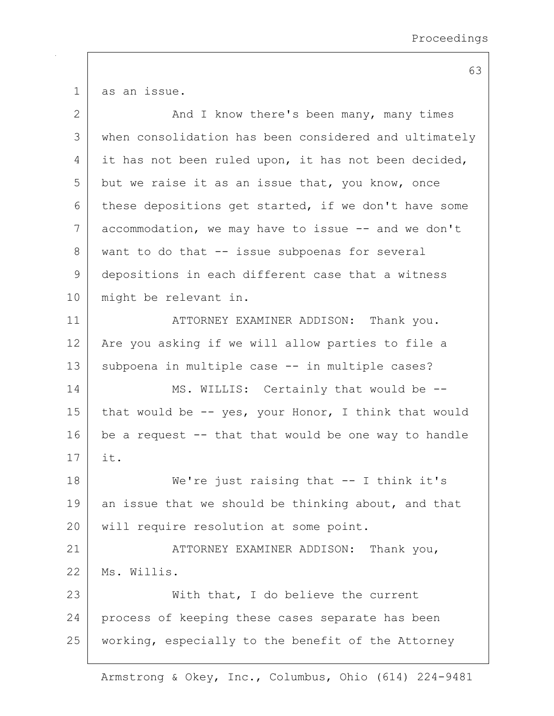1 as an issue.

| $\mathbf{2}$ | And I know there's been many, many times              |
|--------------|-------------------------------------------------------|
| 3            | when consolidation has been considered and ultimately |
| 4            | it has not been ruled upon, it has not been decided,  |
| 5            | but we raise it as an issue that, you know, once      |
| 6            | these depositions get started, if we don't have some  |
| 7            | accommodation, we may have to issue -- and we don't   |
| 8            | want to do that -- issue subpoenas for several        |
| 9            | depositions in each different case that a witness     |
| 10           | might be relevant in.                                 |
| 11           | ATTORNEY EXAMINER ADDISON: Thank you.                 |
| 12           | Are you asking if we will allow parties to file a     |
| 13           | subpoena in multiple case -- in multiple cases?       |
| 14           | MS. WILLIS: Certainly that would be --                |
| 15           | that would be -- yes, your Honor, I think that would  |
| 16           | be a request -- that that would be one way to handle  |
| 17           | it.                                                   |
| 18           | We're just raising that $-$ - I think it's            |
| 19           | an issue that we should be thinking about, and that   |
| 20           | will require resolution at some point.                |
| 21           | ATTORNEY EXAMINER ADDISON: Thank you,                 |
| 22           | Ms. Willis.                                           |
| 23           | With that, I do believe the current                   |
| 24           | process of keeping these cases separate has been      |
| 25           | working, especially to the benefit of the Attorney    |
|              |                                                       |

Armstrong & Okey, Inc., Columbus, Ohio (614) 224-9481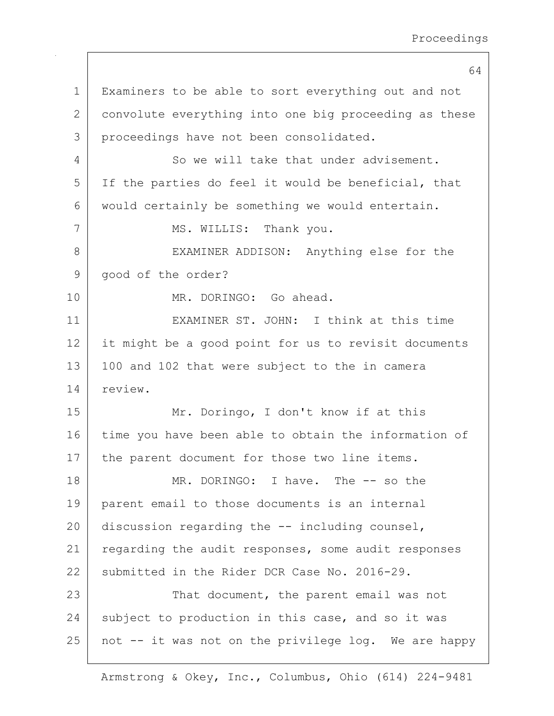64 1 Examiners to be able to sort everything out and not 2 convolute everything into one big proceeding as these 3 proceedings have not been consolidated. 4 So we will take that under advisement. 5 If the parties do feel it would be beneficial, that 6 would certainly be something we would entertain. 7 | MS. WILLIS: Thank you. 8 | EXAMINER ADDISON: Anything else for the 9 | good of the order? 10 MR. DORINGO: Go ahead. 11 EXAMINER ST. JOHN: I think at this time 12 it might be a good point for us to revisit documents 13 | 100 and 102 that were subject to the in camera 14 review. 15 | Mr. Doringo, I don't know if at this 16 time you have been able to obtain the information of 17 | the parent document for those two line items. 18 MR. DORINGO: I have. The -- so the 19 parent email to those documents is an internal 20 discussion regarding the  $-$ - including counsel, 21 regarding the audit responses, some audit responses 22 submitted in the Rider DCR Case No. 2016-29. 23 That document, the parent email was not 24 subject to production in this case, and so it was  $25$  not  $-$  it was not on the privilege log. We are happy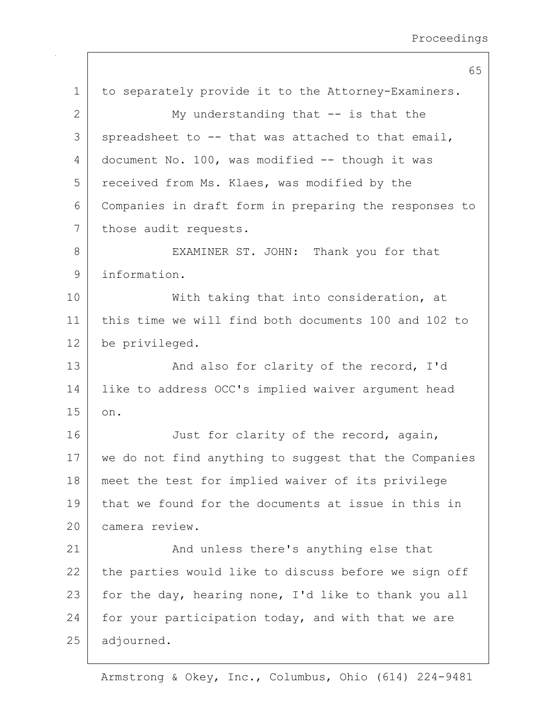65 1 to separately provide it to the Attorney-Examiners. 2 My understanding that -- is that the  $3$  spreadsheet to  $-$  that was attached to that email,  $4$  document No. 100, was modified  $-$  though it was 5 received from Ms. Klaes, was modified by the 6 Companies in draft form in preparing the responses to 7 | those audit requests. 8 | EXAMINER ST. JOHN: Thank you for that 9 information. 10 | With taking that into consideration, at 11 this time we will find both documents 100 and 102 to 12 be privileged. 13 And also for clarity of the record, I'd 14 | like to address OCC's implied waiver argument head 15 on. 16 Just for clarity of the record, again, 17 we do not find anything to suggest that the Companies 18 meet the test for implied waiver of its privilege 19 that we found for the documents at issue in this in 20 camera review. 21 | And unless there's anything else that  $22$  the parties would like to discuss before we sign off 23 for the day, hearing none, I'd like to thank you all 24 | for your participation today, and with that we are 25 adjourned.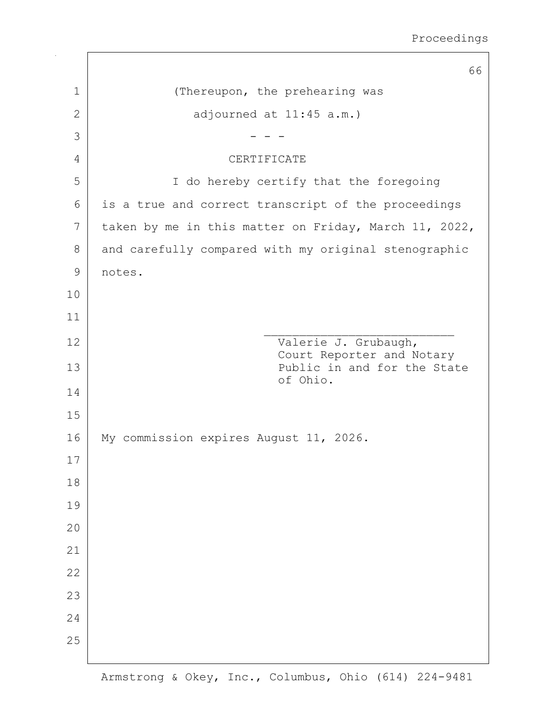|               | 66                                                    |
|---------------|-------------------------------------------------------|
| $\mathbf 1$   | (Thereupon, the prehearing was                        |
| $\mathbf{2}$  | adjourned at 11:45 a.m.)                              |
| 3             |                                                       |
| 4             | CERTIFICATE                                           |
| 5             | I do hereby certify that the foregoing                |
| 6             | is a true and correct transcript of the proceedings   |
| 7             | taken by me in this matter on Friday, March 11, 2022, |
| 8             | and carefully compared with my original stenographic  |
| $\mathcal{G}$ | notes.                                                |
| 10            |                                                       |
| 11            |                                                       |
| 12            | Valerie J. Grubaugh,<br>Court Reporter and Notary     |
| 13            | Public in and for the State<br>of Ohio.               |
| 14            |                                                       |
| 15            |                                                       |
| 16<br>17      | My commission expires August 11, 2026.                |
| 18            |                                                       |
| 19            |                                                       |
| 20            |                                                       |
| 21            |                                                       |
| 22            |                                                       |
| 23            |                                                       |
| 24            |                                                       |
| 25            |                                                       |
|               |                                                       |

 $\mathbf{I}$